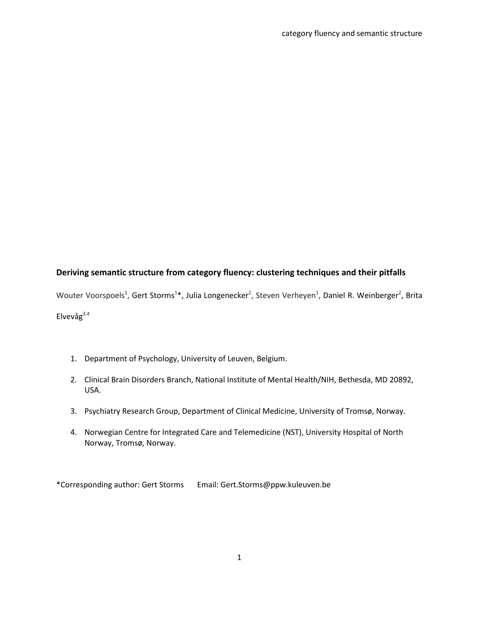# **Deriving semantic structure from category fluency: clustering techniques and their pitfalls**

Wouter Voorspoels<sup>1</sup>, Gert Storms<sup>1\*</sup>, Julia Longenecker<sup>2</sup>, Steven Verheyen<sup>1</sup>, Daniel R. Weinberger<sup>2</sup>, Brita Elvevåg $3,4$ 

- 1. Department of Psychology, University of Leuven, Belgium.
- 2. Clinical Brain Disorders Branch, National Institute of Mental Health/NIH, Bethesda, MD 20892, USA.
- 3. Psychiatry Research Group, Department of Clinical Medicine, University of Tromsø, Norway.
- 4. Norwegian Centre for Integrated Care and Telemedicine (NST), University Hospital of North Norway, Tromsø, Norway.

\*Corresponding author: Gert Storms Email: Gert.Storms@ppw.kuleuven.be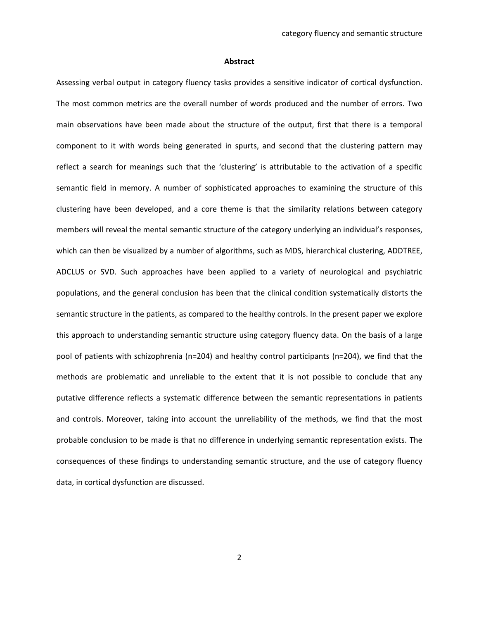#### **Abstract**

Assessing verbal output in category fluency tasks provides a sensitive indicator of cortical dysfunction. The most common metrics are the overall number of words produced and the number of errors. Two main observations have been made about the structure of the output, first that there is a temporal component to it with words being generated in spurts, and second that the clustering pattern may reflect a search for meanings such that the 'clustering' is attributable to the activation of a specific semantic field in memory. A number of sophisticated approaches to examining the structure of this clustering have been developed, and a core theme is that the similarity relations between category members will reveal the mental semantic structure of the category underlying an individual's responses, which can then be visualized by a number of algorithms, such as MDS, hierarchical clustering, ADDTREE, ADCLUS or SVD. Such approaches have been applied to a variety of neurological and psychiatric populations, and the general conclusion has been that the clinical condition systematically distorts the semantic structure in the patients, as compared to the healthy controls. In the present paper we explore this approach to understanding semantic structure using category fluency data. On the basis of a large pool of patients with schizophrenia (n=204) and healthy control participants (n=204), we find that the methods are problematic and unreliable to the extent that it is not possible to conclude that any putative difference reflects a systematic difference between the semantic representations in patients and controls. Moreover, taking into account the unreliability of the methods, we find that the most probable conclusion to be made is that no difference in underlying semantic representation exists. The consequences of these findings to understanding semantic structure, and the use of category fluency data, in cortical dysfunction are discussed.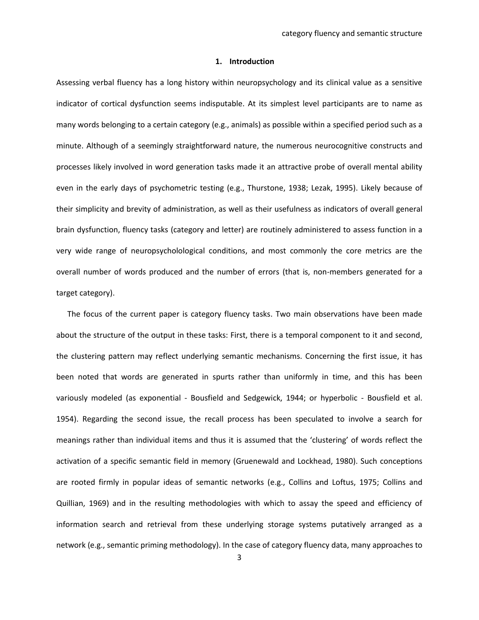#### **1. Introduction**

Assessing verbal fluency has a long history within neuropsychology and its clinical value as a sensitive indicator of cortical dysfunction seems indisputable. At its simplest level participants are to name as many words belonging to a certain category (e.g., animals) as possible within a specified period such as a minute. Although of a seemingly straightforward nature, the numerous neurocognitive constructs and processes likely involved in word generation tasks made it an attractive probe of overall mental ability even in the early days of psychometric testing (e.g., Thurstone, 1938; Lezak, 1995). Likely because of their simplicity and brevity of administration, as well as their usefulness as indicators of overall general brain dysfunction, fluency tasks (category and letter) are routinely administered to assess function in a very wide range of neuropsycholological conditions, and most commonly the core metrics are the overall number of words produced and the number of errors (that is, non-members generated for a target category).

The focus of the current paper is category fluency tasks. Two main observations have been made about the structure of the output in these tasks: First, there is a temporal component to it and second, the clustering pattern may reflect underlying semantic mechanisms. Concerning the first issue, it has been noted that words are generated in spurts rather than uniformly in time, and this has been variously modeled (as exponential - Bousfield and Sedgewick, 1944; or hyperbolic - Bousfield et al. 1954). Regarding the second issue, the recall process has been speculated to involve a search for meanings rather than individual items and thus it is assumed that the 'clustering' of words reflect the activation of a specific semantic field in memory (Gruenewald and Lockhead, 1980). Such conceptions are rooted firmly in popular ideas of semantic networks (e.g., Collins and Loftus, 1975; Collins and Quillian, 1969) and in the resulting methodologies with which to assay the speed and efficiency of information search and retrieval from these underlying storage systems putatively arranged as a network (e.g., semantic priming methodology). In the case of category fluency data, many approaches to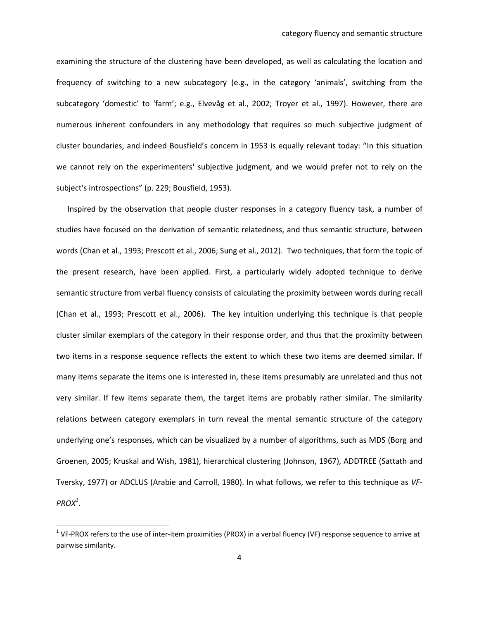examining the structure of the clustering have been developed, as well as calculating the location and frequency of switching to a new subcategory (e.g., in the category 'animals', switching from the subcategory 'domestic' to 'farm'; e.g., Elvevåg et al., 2002; Troyer et al., 1997). However, there are numerous inherent confounders in any methodology that requires so much subjective judgment of cluster boundaries, and indeed Bousfield's concern in 1953 is equally relevant today: "In this situation we cannot rely on the experimenters' subjective judgment, and we would prefer not to rely on the subject's introspections" (p. 229; Bousfield, 1953).

Inspired by the observation that people cluster responses in a category fluency task, a number of studies have focused on the derivation of semantic relatedness, and thus semantic structure, between words (Chan et al., 1993; Prescott et al., 2006; Sung et al., 2012). Two techniques, that form the topic of the present research, have been applied. First, a particularly widely adopted technique to derive semantic structure from verbal fluency consists of calculating the proximity between words during recall (Chan et al., 1993; Prescott et al., 2006). The key intuition underlying this technique is that people cluster similar exemplars of the category in their response order, and thus that the proximity between two items in a response sequence reflects the extent to which these two items are deemed similar. If many items separate the items one is interested in, these items presumably are unrelated and thus not very similar. If few items separate them, the target items are probably rather similar. The similarity relations between category exemplars in turn reveal the mental semantic structure of the category underlying one's responses, which can be visualized by a number of algorithms, such as MDS (Borg and Groenen, 2005; Kruskal and Wish, 1981), hierarchical clustering (Johnson, 1967), ADDTREE (Sattath and Tversky, 1977) or ADCLUS (Arabie and Carroll, 1980). In what follows, we refer to this technique as *VF-PROX<sup>1</sup>* .

 $\overline{\phantom{a}}$ 

<sup>&</sup>lt;sup>1</sup> VF-PROX refers to the use of inter-item proximities (PROX) in a verbal fluency (VF) response sequence to arrive at pairwise similarity.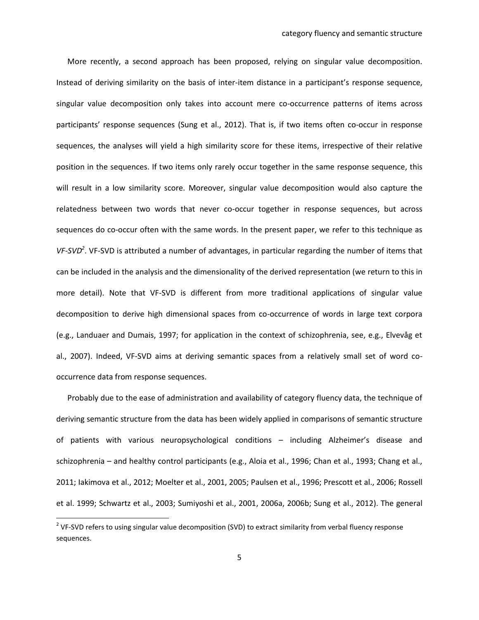More recently, a second approach has been proposed, relying on singular value decomposition. Instead of deriving similarity on the basis of inter-item distance in a participant's response sequence, singular value decomposition only takes into account mere co-occurrence patterns of items across participants' response sequences (Sung et al., 2012). That is, if two items often co-occur in response sequences, the analyses will yield a high similarity score for these items, irrespective of their relative position in the sequences. If two items only rarely occur together in the same response sequence, this will result in a low similarity score. Moreover, singular value decomposition would also capture the relatedness between two words that never co-occur together in response sequences, but across sequences do co-occur often with the same words. In the present paper, we refer to this technique as *VF-SVD<sup>2</sup>* . VF-SVD is attributed a number of advantages, in particular regarding the number of items that can be included in the analysis and the dimensionality of the derived representation (we return to this in more detail). Note that VF-SVD is different from more traditional applications of singular value decomposition to derive high dimensional spaces from co-occurrence of words in large text corpora (e.g., Landuaer and Dumais, 1997; for application in the context of schizophrenia, see, e.g., Elvevåg et al., 2007). Indeed, VF-SVD aims at deriving semantic spaces from a relatively small set of word cooccurrence data from response sequences.

Probably due to the ease of administration and availability of category fluency data, the technique of deriving semantic structure from the data has been widely applied in comparisons of semantic structure of patients with various neuropsychological conditions – including Alzheimer's disease and schizophrenia – and healthy control participants (e.g., Aloia et al., 1996; Chan et al., 1993; Chang et al., 2011; Iakimova et al., 2012; Moelter et al., 2001, 2005; Paulsen et al., 1996; Prescott et al., 2006; Rossell et al. 1999; Schwartz et al., 2003; Sumiyoshi et al., 2001, 2006a, 2006b; Sung et al., 2012). The general

 $\overline{a}$ 

 $2$  VF-SVD refers to using singular value decomposition (SVD) to extract similarity from verbal fluency response sequences.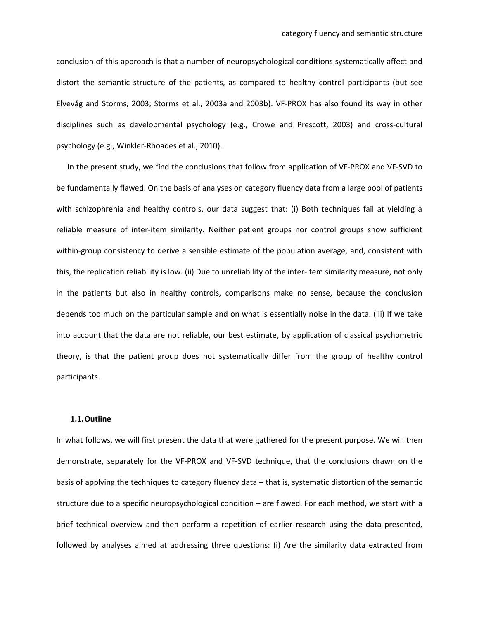conclusion of this approach is that a number of neuropsychological conditions systematically affect and distort the semantic structure of the patients, as compared to healthy control participants (but see Elvevåg and Storms, 2003; Storms et al., 2003a and 2003b). VF-PROX has also found its way in other disciplines such as developmental psychology (e.g., Crowe and Prescott, 2003) and cross-cultural psychology (e.g., Winkler-Rhoades et al., 2010).

In the present study, we find the conclusions that follow from application of VF-PROX and VF-SVD to be fundamentally flawed. On the basis of analyses on category fluency data from a large pool of patients with schizophrenia and healthy controls, our data suggest that: (i) Both techniques fail at yielding a reliable measure of inter-item similarity. Neither patient groups nor control groups show sufficient within-group consistency to derive a sensible estimate of the population average, and, consistent with this, the replication reliability is low. (ii) Due to unreliability of the inter-item similarity measure, not only in the patients but also in healthy controls, comparisons make no sense, because the conclusion depends too much on the particular sample and on what is essentially noise in the data. (iii) If we take into account that the data are not reliable, our best estimate, by application of classical psychometric theory, is that the patient group does not systematically differ from the group of healthy control participants.

# **1.1.Outline**

In what follows, we will first present the data that were gathered for the present purpose. We will then demonstrate, separately for the VF-PROX and VF-SVD technique, that the conclusions drawn on the basis of applying the techniques to category fluency data – that is, systematic distortion of the semantic structure due to a specific neuropsychological condition – are flawed. For each method, we start with a brief technical overview and then perform a repetition of earlier research using the data presented, followed by analyses aimed at addressing three questions: (i) Are the similarity data extracted from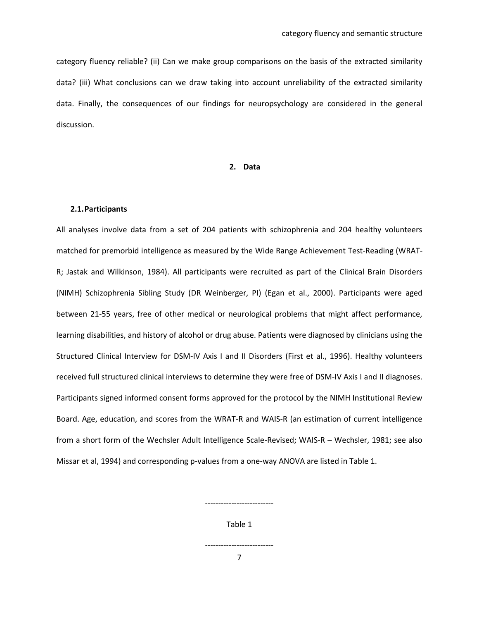category fluency reliable? (ii) Can we make group comparisons on the basis of the extracted similarity data? (iii) What conclusions can we draw taking into account unreliability of the extracted similarity data. Finally, the consequences of our findings for neuropsychology are considered in the general discussion.

# **2. Data**

# **2.1.Participants**

All analyses involve data from a set of 204 patients with schizophrenia and 204 healthy volunteers matched for premorbid intelligence as measured by the Wide Range Achievement Test-Reading (WRAT-R; Jastak and Wilkinson, 1984). All participants were recruited as part of the Clinical Brain Disorders (NIMH) Schizophrenia Sibling Study (DR Weinberger, PI) (Egan et al., 2000). Participants were aged between 21-55 years, free of other medical or neurological problems that might affect performance, learning disabilities, and history of alcohol or drug abuse. Patients were diagnosed by clinicians using the Structured Clinical Interview for DSM-IV Axis I and II Disorders (First et al., 1996). Healthy volunteers received full structured clinical interviews to determine they were free of DSM-IV Axis I and II diagnoses. Participants signed informed consent forms approved for the protocol by the NIMH Institutional Review Board. Age, education, and scores from the WRAT-R and WAIS-R (an estimation of current intelligence from a short form of the Wechsler Adult Intelligence Scale-Revised; WAIS-R – Wechsler, 1981; see also Missar et al, 1994) and corresponding p-values from a one-way ANOVA are listed in Table 1.

Table 1

--------------------------

--------------------------

7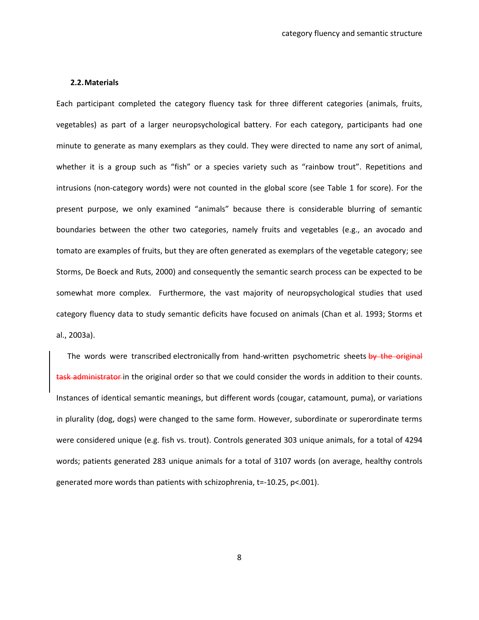#### **2.2.Materials**

Each participant completed the category fluency task for three different categories (animals, fruits, vegetables) as part of a larger neuropsychological battery. For each category, participants had one minute to generate as many exemplars as they could. They were directed to name any sort of animal, whether it is a group such as "fish" or a species variety such as "rainbow trout". Repetitions and intrusions (non-category words) were not counted in the global score (see Table 1 for score). For the present purpose, we only examined "animals" because there is considerable blurring of semantic boundaries between the other two categories, namely fruits and vegetables (e.g., an avocado and tomato are examples of fruits, but they are often generated as exemplars of the vegetable category; see Storms, De Boeck and Ruts, 2000) and consequently the semantic search process can be expected to be somewhat more complex. Furthermore, the vast majority of neuropsychological studies that used category fluency data to study semantic deficits have focused on animals (Chan et al. 1993; Storms et al., 2003a).

The words were transcribed electronically from hand-written psychometric sheets by the original task administrator in the original order so that we could consider the words in addition to their counts. Instances of identical semantic meanings, but different words (cougar, catamount, puma), or variations in plurality (dog, dogs) were changed to the same form. However, subordinate or superordinate terms were considered unique (e.g. fish vs. trout). Controls generated 303 unique animals, for a total of 4294 words; patients generated 283 unique animals for a total of 3107 words (on average, healthy controls generated more words than patients with schizophrenia, t=-10.25, p<.001).

8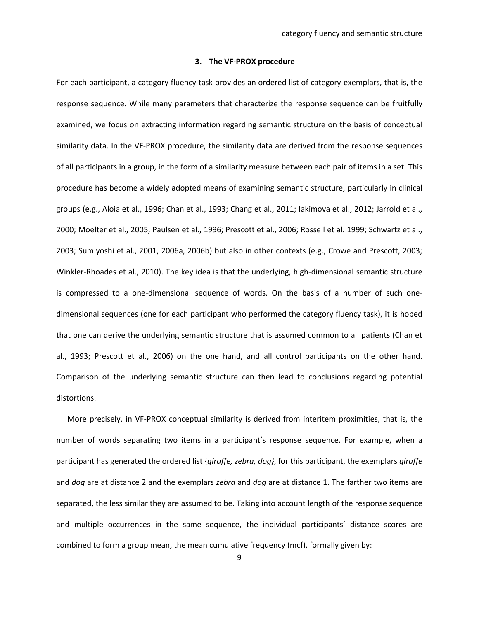#### **3. The VF-PROX procedure**

For each participant, a category fluency task provides an ordered list of category exemplars, that is, the response sequence. While many parameters that characterize the response sequence can be fruitfully examined, we focus on extracting information regarding semantic structure on the basis of conceptual similarity data. In the VF-PROX procedure, the similarity data are derived from the response sequences of all participants in a group, in the form of a similarity measure between each pair of items in a set. This procedure has become a widely adopted means of examining semantic structure, particularly in clinical groups (e.g., Aloia et al., 1996; Chan et al., 1993; Chang et al., 2011; Iakimova et al., 2012; Jarrold et al., 2000; Moelter et al., 2005; Paulsen et al., 1996; Prescott et al., 2006; Rossell et al. 1999; Schwartz et al., 2003; Sumiyoshi et al., 2001, 2006a, 2006b) but also in other contexts (e.g., Crowe and Prescott, 2003; Winkler-Rhoades et al., 2010). The key idea is that the underlying, high-dimensional semantic structure is compressed to a one-dimensional sequence of words. On the basis of a number of such onedimensional sequences (one for each participant who performed the category fluency task), it is hoped that one can derive the underlying semantic structure that is assumed common to all patients (Chan et al., 1993; Prescott et al., 2006) on the one hand, and all control participants on the other hand. Comparison of the underlying semantic structure can then lead to conclusions regarding potential distortions.

More precisely, in VF-PROX conceptual similarity is derived from interitem proximities, that is, the number of words separating two items in a participant's response sequence. For example, when a participant has generated the ordered list {*giraffe, zebra, dog}*, for this participant, the exemplars *giraffe* and *dog* are at distance 2 and the exemplars *zebra* and *dog* are at distance 1. The farther two items are separated, the less similar they are assumed to be. Taking into account length of the response sequence and multiple occurrences in the same sequence, the individual participants' distance scores are combined to form a group mean, the mean cumulative frequency (mcf), formally given by: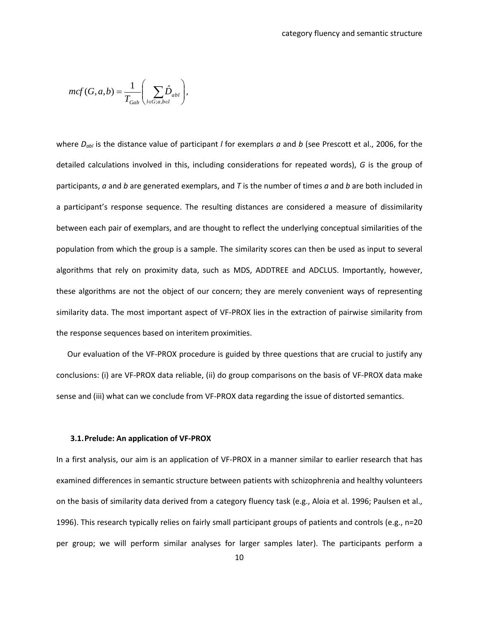$$
mcf(G,a,b) = \frac{1}{T_{Gab}} \left( \sum_{l \in G; a,b \in l} \hat{D}_{abl} \right),
$$

where  $D_{\alpha b}$  is the distance value of participant *l* for exemplars *a* and *b* (see Prescott et al., 2006, for the detailed calculations involved in this, including considerations for repeated words), *G* is the group of participants, *a* and *b* are generated exemplars, and *T* is the number of times *a* and *b* are both included in a participant's response sequence. The resulting distances are considered a measure of dissimilarity between each pair of exemplars, and are thought to reflect the underlying conceptual similarities of the population from which the group is a sample. The similarity scores can then be used as input to several algorithms that rely on proximity data, such as MDS, ADDTREE and ADCLUS. Importantly, however, these algorithms are not the object of our concern; they are merely convenient ways of representing similarity data. The most important aspect of VF-PROX lies in the extraction of pairwise similarity from the response sequences based on interitem proximities.

Our evaluation of the VF-PROX procedure is guided by three questions that are crucial to justify any conclusions: (i) are VF-PROX data reliable, (ii) do group comparisons on the basis of VF-PROX data make sense and (iii) what can we conclude from VF-PROX data regarding the issue of distorted semantics.

#### **3.1.Prelude: An application of VF-PROX**

In a first analysis, our aim is an application of VF-PROX in a manner similar to earlier research that has examined differences in semantic structure between patients with schizophrenia and healthy volunteers on the basis of similarity data derived from a category fluency task (e.g., Aloia et al. 1996; Paulsen et al., 1996). This research typically relies on fairly small participant groups of patients and controls (e.g., n=20 per group; we will perform similar analyses for larger samples later). The participants perform a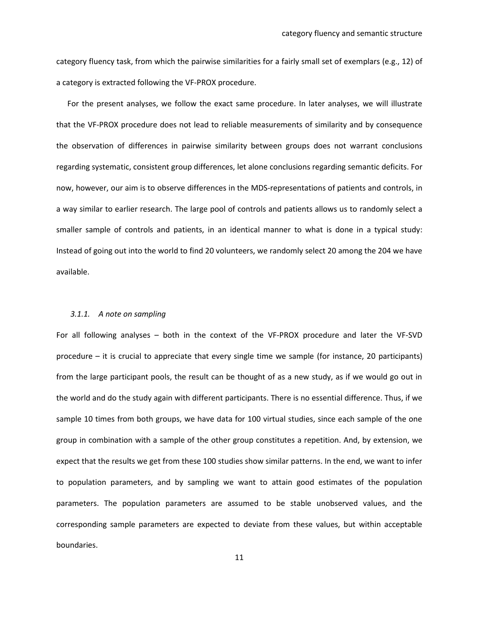category fluency task, from which the pairwise similarities for a fairly small set of exemplars (e.g., 12) of a category is extracted following the VF-PROX procedure.

For the present analyses, we follow the exact same procedure. In later analyses, we will illustrate that the VF-PROX procedure does not lead to reliable measurements of similarity and by consequence the observation of differences in pairwise similarity between groups does not warrant conclusions regarding systematic, consistent group differences, let alone conclusions regarding semantic deficits. For now, however, our aim is to observe differences in the MDS-representations of patients and controls, in a way similar to earlier research. The large pool of controls and patients allows us to randomly select a smaller sample of controls and patients, in an identical manner to what is done in a typical study: Instead of going out into the world to find 20 volunteers, we randomly select 20 among the 204 we have available.

# *3.1.1. A note on sampling*

For all following analyses – both in the context of the VF-PROX procedure and later the VF-SVD procedure – it is crucial to appreciate that every single time we sample (for instance, 20 participants) from the large participant pools, the result can be thought of as a new study, as if we would go out in the world and do the study again with different participants. There is no essential difference. Thus, if we sample 10 times from both groups, we have data for 100 virtual studies, since each sample of the one group in combination with a sample of the other group constitutes a repetition. And, by extension, we expect that the results we get from these 100 studies show similar patterns. In the end, we want to infer to population parameters, and by sampling we want to attain good estimates of the population parameters. The population parameters are assumed to be stable unobserved values, and the corresponding sample parameters are expected to deviate from these values, but within acceptable boundaries.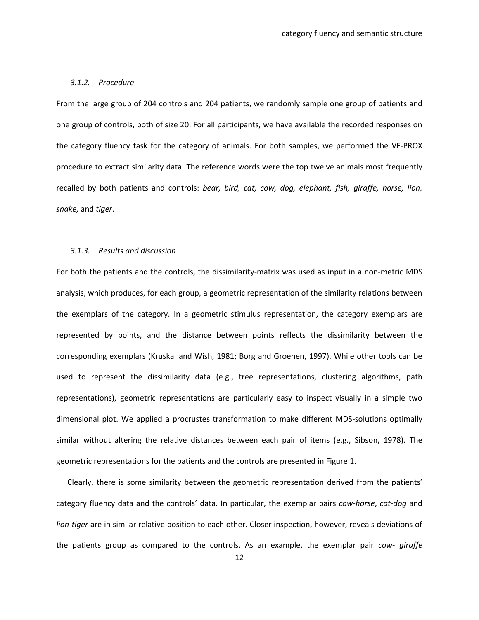# *3.1.2. Procedure*

From the large group of 204 controls and 204 patients, we randomly sample one group of patients and one group of controls, both of size 20. For all participants, we have available the recorded responses on the category fluency task for the category of animals. For both samples, we performed the VF-PROX procedure to extract similarity data. The reference words were the top twelve animals most frequently recalled by both patients and controls: *bear, bird, cat, cow, dog, elephant, fish, giraffe, horse, lion, snake,* and *tiger*.

### *3.1.3. Results and discussion*

For both the patients and the controls, the dissimilarity-matrix was used as input in a non-metric MDS analysis, which produces, for each group, a geometric representation of the similarity relations between the exemplars of the category. In a geometric stimulus representation, the category exemplars are represented by points, and the distance between points reflects the dissimilarity between the corresponding exemplars (Kruskal and Wish, 1981; Borg and Groenen, 1997). While other tools can be used to represent the dissimilarity data (e.g., tree representations, clustering algorithms, path representations), geometric representations are particularly easy to inspect visually in a simple two dimensional plot. We applied a procrustes transformation to make different MDS-solutions optimally similar without altering the relative distances between each pair of items (e.g., Sibson, 1978). The geometric representations for the patients and the controls are presented in Figure 1.

Clearly, there is some similarity between the geometric representation derived from the patients' category fluency data and the controls' data. In particular, the exemplar pairs *cow*-*horse*, *cat*-*dog* and *lion*-*tiger* are in similar relative position to each other. Closer inspection, however, reveals deviations of the patients group as compared to the controls. As an example, the exemplar pair *cow*- *giraffe*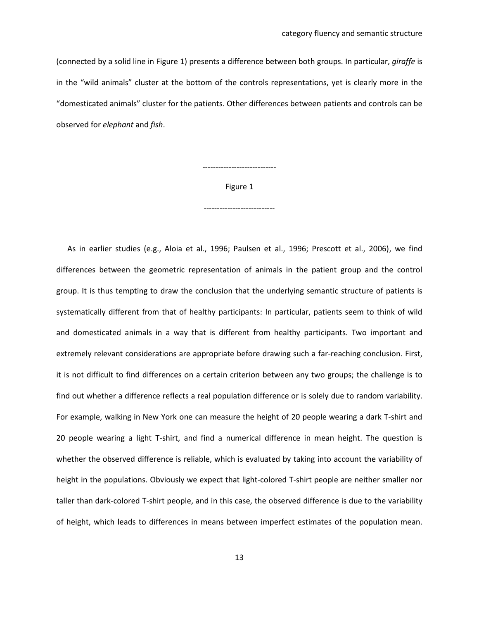(connected by a solid line in Figure 1) presents a difference between both groups. In particular, *giraffe* is in the "wild animals" cluster at the bottom of the controls representations, yet is clearly more in the "domesticated animals" cluster for the patients. Other differences between patients and controls can be observed for *elephant* and *fish*.

Figure 1

----------------------------

---------------------------

As in earlier studies (e.g., Aloia et al., 1996; Paulsen et al., 1996; Prescott et al., 2006), we find differences between the geometric representation of animals in the patient group and the control group. It is thus tempting to draw the conclusion that the underlying semantic structure of patients is systematically different from that of healthy participants: In particular, patients seem to think of wild and domesticated animals in a way that is different from healthy participants. Two important and extremely relevant considerations are appropriate before drawing such a far-reaching conclusion. First, it is not difficult to find differences on a certain criterion between any two groups; the challenge is to find out whether a difference reflects a real population difference or is solely due to random variability. For example, walking in New York one can measure the height of 20 people wearing a dark T-shirt and 20 people wearing a light T-shirt, and find a numerical difference in mean height. The question is whether the observed difference is reliable, which is evaluated by taking into account the variability of height in the populations. Obviously we expect that light-colored T-shirt people are neither smaller nor taller than dark-colored T-shirt people, and in this case, the observed difference is due to the variability of height, which leads to differences in means between imperfect estimates of the population mean.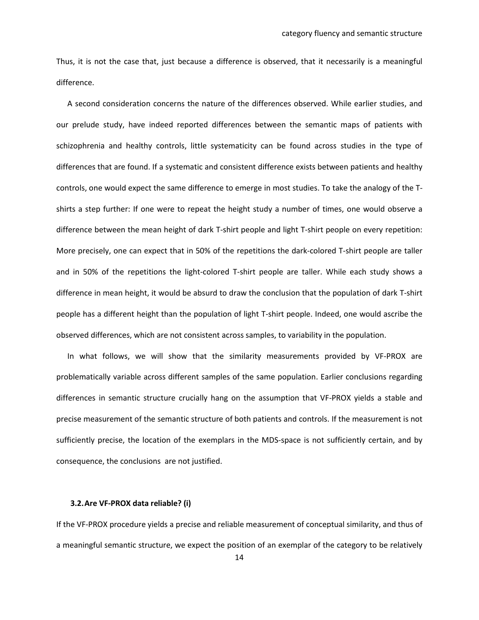Thus, it is not the case that, just because a difference is observed, that it necessarily is a meaningful difference.

A second consideration concerns the nature of the differences observed. While earlier studies, and our prelude study, have indeed reported differences between the semantic maps of patients with schizophrenia and healthy controls, little systematicity can be found across studies in the type of differences that are found. If a systematic and consistent difference exists between patients and healthy controls, one would expect the same difference to emerge in most studies. To take the analogy of the Tshirts a step further: If one were to repeat the height study a number of times, one would observe a difference between the mean height of dark T-shirt people and light T-shirt people on every repetition: More precisely, one can expect that in 50% of the repetitions the dark-colored T-shirt people are taller and in 50% of the repetitions the light-colored T-shirt people are taller. While each study shows a difference in mean height, it would be absurd to draw the conclusion that the population of dark T-shirt people has a different height than the population of light T-shirt people. Indeed, one would ascribe the observed differences, which are not consistent across samples, to variability in the population.

In what follows, we will show that the similarity measurements provided by VF-PROX are problematically variable across different samples of the same population. Earlier conclusions regarding differences in semantic structure crucially hang on the assumption that VF-PROX yields a stable and precise measurement of the semantic structure of both patients and controls. If the measurement is not sufficiently precise, the location of the exemplars in the MDS-space is not sufficiently certain, and by consequence, the conclusions are not justified.

# **3.2.Are VF-PROX data reliable? (i)**

If the VF-PROX procedure yields a precise and reliable measurement of conceptual similarity, and thus of a meaningful semantic structure, we expect the position of an exemplar of the category to be relatively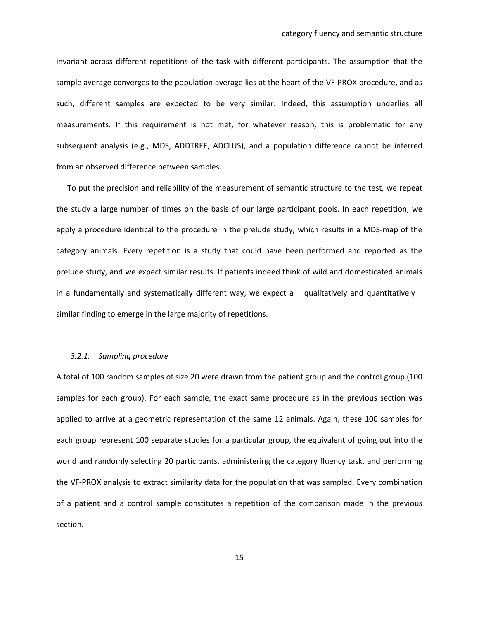invariant across different repetitions of the task with different participants. The assumption that the sample average converges to the population average lies at the heart of the VF-PROX procedure, and as such, different samples are expected to be very similar. Indeed, this assumption underlies all measurements. If this requirement is not met, for whatever reason, this is problematic for any subsequent analysis (e.g., MDS, ADDTREE, ADCLUS), and a population difference cannot be inferred from an observed difference between samples.

To put the precision and reliability of the measurement of semantic structure to the test, we repeat the study a large number of times on the basis of our large participant pools. In each repetition, we apply a procedure identical to the procedure in the prelude study, which results in a MDS-map of the category animals. Every repetition is a study that could have been performed and reported as the prelude study, and we expect similar results. If patients indeed think of wild and domesticated animals in a fundamentally and systematically different way, we expect  $a - q$ ualitatively and quantitatively  $$ similar finding to emerge in the large majority of repetitions.

#### *3.2.1. Sampling procedure*

A total of 100 random samples of size 20 were drawn from the patient group and the control group (100 samples for each group). For each sample, the exact same procedure as in the previous section was applied to arrive at a geometric representation of the same 12 animals. Again, these 100 samples for each group represent 100 separate studies for a particular group, the equivalent of going out into the world and randomly selecting 20 participants, administering the category fluency task, and performing the VF-PROX analysis to extract similarity data for the population that was sampled. Every combination of a patient and a control sample constitutes a repetition of the comparison made in the previous section.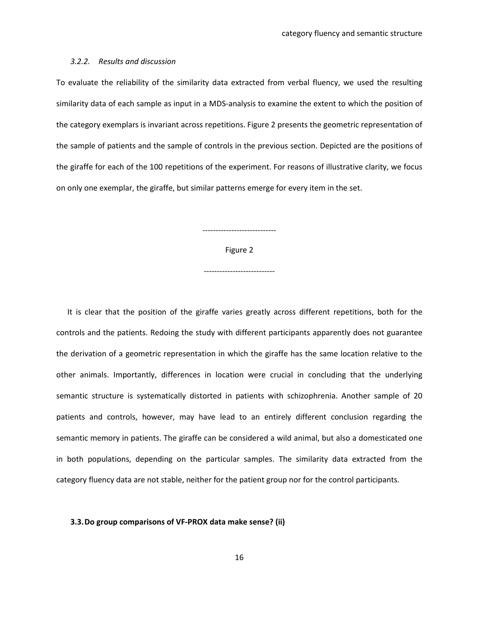#### *3.2.2. Results and discussion*

To evaluate the reliability of the similarity data extracted from verbal fluency, we used the resulting similarity data of each sample as input in a MDS-analysis to examine the extent to which the position of the category exemplars is invariant across repetitions. Figure 2 presents the geometric representation of the sample of patients and the sample of controls in the previous section. Depicted are the positions of the giraffe for each of the 100 repetitions of the experiment. For reasons of illustrative clarity, we focus on only one exemplar, the giraffe, but similar patterns emerge for every item in the set.

Figure 2

----------------------------

---------------------------

It is clear that the position of the giraffe varies greatly across different repetitions, both for the controls and the patients. Redoing the study with different participants apparently does not guarantee the derivation of a geometric representation in which the giraffe has the same location relative to the other animals. Importantly, differences in location were crucial in concluding that the underlying semantic structure is systematically distorted in patients with schizophrenia. Another sample of 20 patients and controls, however, may have lead to an entirely different conclusion regarding the semantic memory in patients. The giraffe can be considered a wild animal, but also a domesticated one in both populations, depending on the particular samples. The similarity data extracted from the category fluency data are not stable, neither for the patient group nor for the control participants.

#### **3.3.Do group comparisons of VF-PROX data make sense? (ii)**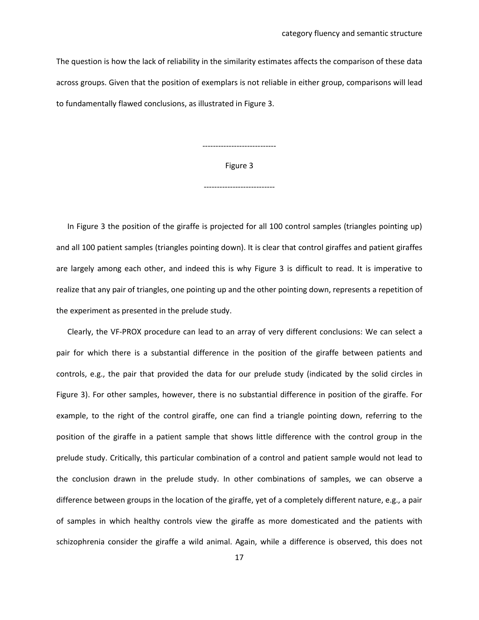The question is how the lack of reliability in the similarity estimates affects the comparison of these data across groups. Given that the position of exemplars is not reliable in either group, comparisons will lead to fundamentally flawed conclusions, as illustrated in Figure 3.

----------------------------

Figure 3

---------------------------

In Figure 3 the position of the giraffe is projected for all 100 control samples (triangles pointing up) and all 100 patient samples (triangles pointing down). It is clear that control giraffes and patient giraffes are largely among each other, and indeed this is why Figure 3 is difficult to read. It is imperative to realize that any pair of triangles, one pointing up and the other pointing down, represents a repetition of the experiment as presented in the prelude study.

Clearly, the VF-PROX procedure can lead to an array of very different conclusions: We can select a pair for which there is a substantial difference in the position of the giraffe between patients and controls, e.g., the pair that provided the data for our prelude study (indicated by the solid circles in Figure 3). For other samples, however, there is no substantial difference in position of the giraffe. For example, to the right of the control giraffe, one can find a triangle pointing down, referring to the position of the giraffe in a patient sample that shows little difference with the control group in the prelude study. Critically, this particular combination of a control and patient sample would not lead to the conclusion drawn in the prelude study. In other combinations of samples, we can observe a difference between groups in the location of the giraffe, yet of a completely different nature, e.g., a pair of samples in which healthy controls view the giraffe as more domesticated and the patients with schizophrenia consider the giraffe a wild animal. Again, while a difference is observed, this does not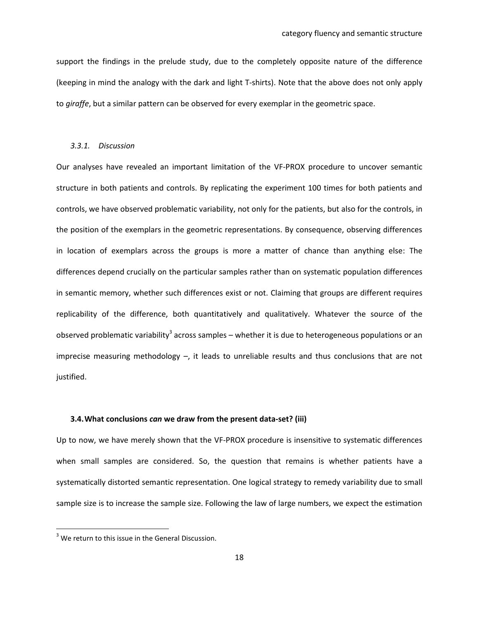support the findings in the prelude study, due to the completely opposite nature of the difference (keeping in mind the analogy with the dark and light T-shirts). Note that the above does not only apply to *giraffe*, but a similar pattern can be observed for every exemplar in the geometric space.

#### *3.3.1. Discussion*

Our analyses have revealed an important limitation of the VF-PROX procedure to uncover semantic structure in both patients and controls. By replicating the experiment 100 times for both patients and controls, we have observed problematic variability, not only for the patients, but also for the controls, in the position of the exemplars in the geometric representations. By consequence, observing differences in location of exemplars across the groups is more a matter of chance than anything else: The differences depend crucially on the particular samples rather than on systematic population differences in semantic memory, whether such differences exist or not. Claiming that groups are different requires replicability of the difference, both quantitatively and qualitatively. Whatever the source of the observed problematic variability<sup>3</sup> across samples – whether it is due to heterogeneous populations or an imprecise measuring methodology –, it leads to unreliable results and thus conclusions that are not justified.

# **3.4.What conclusions** *can* **we draw from the present data-set? (iii)**

Up to now, we have merely shown that the VF-PROX procedure is insensitive to systematic differences when small samples are considered. So, the question that remains is whether patients have a systematically distorted semantic representation. One logical strategy to remedy variability due to small sample size is to increase the sample size. Following the law of large numbers, we expect the estimation

 $\overline{\phantom{a}}$ 

 $3$  We return to this issue in the General Discussion.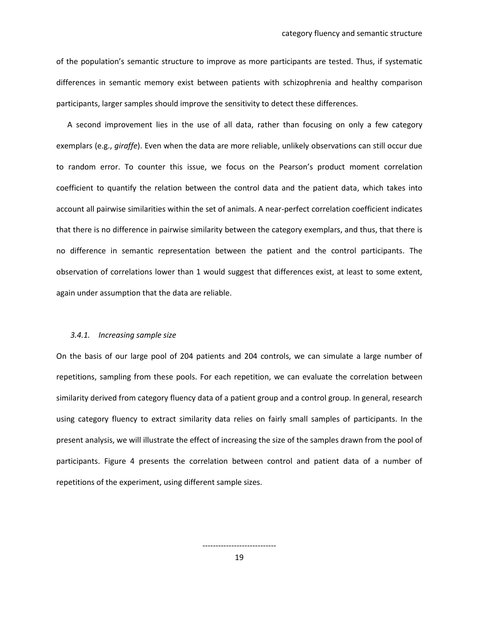of the population's semantic structure to improve as more participants are tested. Thus, if systematic differences in semantic memory exist between patients with schizophrenia and healthy comparison participants, larger samples should improve the sensitivity to detect these differences.

A second improvement lies in the use of all data, rather than focusing on only a few category exemplars (e.g., *giraffe*). Even when the data are more reliable, unlikely observations can still occur due to random error. To counter this issue, we focus on the Pearson's product moment correlation coefficient to quantify the relation between the control data and the patient data, which takes into account all pairwise similarities within the set of animals. A near-perfect correlation coefficient indicates that there is no difference in pairwise similarity between the category exemplars, and thus, that there is no difference in semantic representation between the patient and the control participants. The observation of correlations lower than 1 would suggest that differences exist, at least to some extent, again under assumption that the data are reliable.

#### *3.4.1. Increasing sample size*

On the basis of our large pool of 204 patients and 204 controls, we can simulate a large number of repetitions, sampling from these pools. For each repetition, we can evaluate the correlation between similarity derived from category fluency data of a patient group and a control group. In general, research using category fluency to extract similarity data relies on fairly small samples of participants. In the present analysis, we will illustrate the effect of increasing the size of the samples drawn from the pool of participants. Figure 4 presents the correlation between control and patient data of a number of repetitions of the experiment, using different sample sizes.

> 19 ----------------------------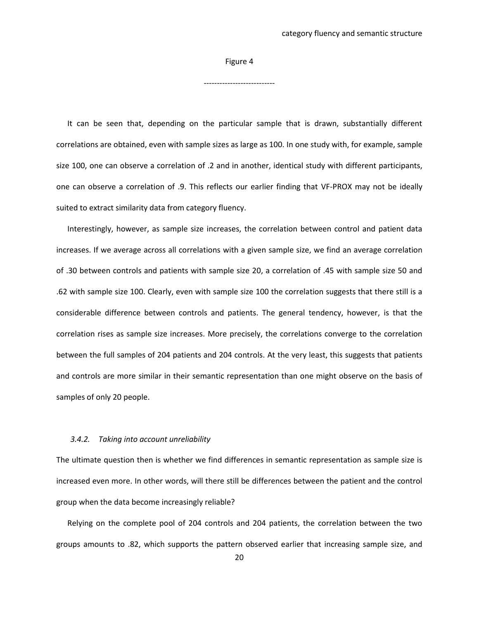Figure 4

---------------------------

It can be seen that, depending on the particular sample that is drawn, substantially different correlations are obtained, even with sample sizes as large as 100. In one study with, for example, sample size 100, one can observe a correlation of .2 and in another, identical study with different participants, one can observe a correlation of .9. This reflects our earlier finding that VF-PROX may not be ideally suited to extract similarity data from category fluency.

Interestingly, however, as sample size increases, the correlation between control and patient data increases. If we average across all correlations with a given sample size, we find an average correlation of .30 between controls and patients with sample size 20, a correlation of .45 with sample size 50 and .62 with sample size 100. Clearly, even with sample size 100 the correlation suggests that there still is a considerable difference between controls and patients. The general tendency, however, is that the correlation rises as sample size increases. More precisely, the correlations converge to the correlation between the full samples of 204 patients and 204 controls. At the very least, this suggests that patients and controls are more similar in their semantic representation than one might observe on the basis of samples of only 20 people.

# *3.4.2. Taking into account unreliability*

The ultimate question then is whether we find differences in semantic representation as sample size is increased even more. In other words, will there still be differences between the patient and the control group when the data become increasingly reliable?

Relying on the complete pool of 204 controls and 204 patients, the correlation between the two groups amounts to .82, which supports the pattern observed earlier that increasing sample size, and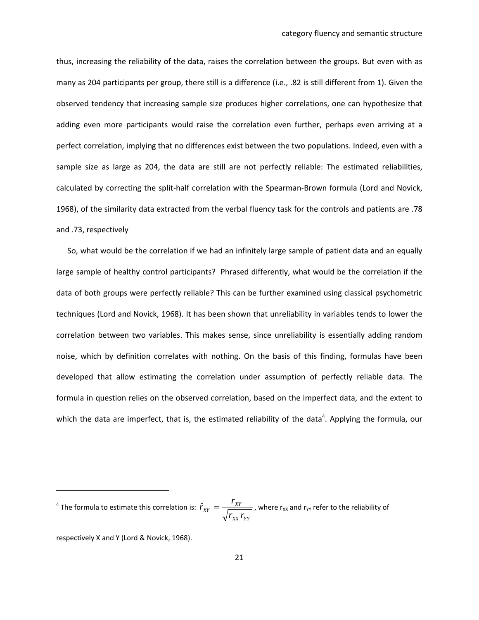thus, increasing the reliability of the data, raises the correlation between the groups. But even with as many as 204 participants per group, there still is a difference (i.e., .82 is still different from 1). Given the observed tendency that increasing sample size produces higher correlations, one can hypothesize that adding even more participants would raise the correlation even further, perhaps even arriving at a perfect correlation, implying that no differences exist between the two populations. Indeed, even with a sample size as large as 204, the data are still are not perfectly reliable: The estimated reliabilities, calculated by correcting the split-half correlation with the Spearman-Brown formula (Lord and Novick, 1968), of the similarity data extracted from the verbal fluency task for the controls and patients are .78 and .73, respectively

So, what would be the correlation if we had an infinitely large sample of patient data and an equally large sample of healthy control participants? Phrased differently, what would be the correlation if the data of both groups were perfectly reliable? This can be further examined using classical psychometric techniques (Lord and Novick, 1968). It has been shown that unreliability in variables tends to lower the correlation between two variables. This makes sense, since unreliability is essentially adding random noise, which by definition correlates with nothing. On the basis of this finding, formulas have been developed that allow estimating the correlation under assumption of perfectly reliable data. The formula in question relies on the observed correlation, based on the imperfect data, and the extent to which the data are imperfect, that is, the estimated reliability of the data<sup>4</sup>. Applying the formula, our

<sup>4</sup> The formula to estimate this correlation is: *XX YY*  $f_{XY} = \frac{r_{XY}}{\sqrt{r_{XX}r}}$  $\hat{r}_{XY} = \frac{r_{XY}}{\sqrt{r_{XY}}}$ , where  $r_{XX}$  and  $r_{YY}$  refer to the reliability of

respectively X and Y (Lord & Novick, 1968).

 $\overline{\phantom{a}}$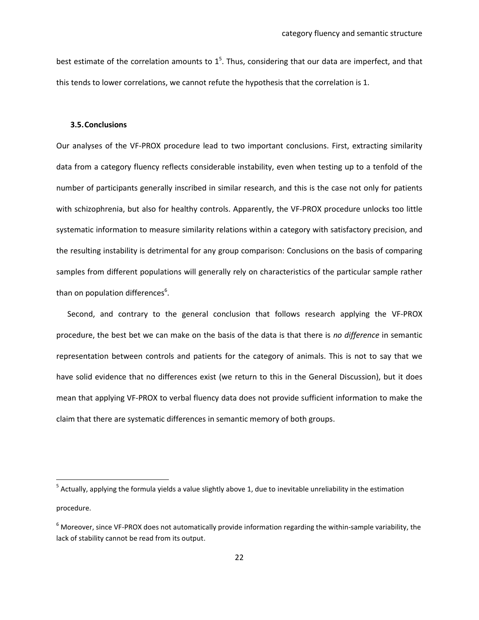best estimate of the correlation amounts to  $1^5$ . Thus, considering that our data are imperfect, and that this tends to lower correlations, we cannot refute the hypothesis that the correlation is 1.

#### **3.5.Conclusions**

 $\overline{\phantom{a}}$ 

Our analyses of the VF-PROX procedure lead to two important conclusions. First, extracting similarity data from a category fluency reflects considerable instability, even when testing up to a tenfold of the number of participants generally inscribed in similar research, and this is the case not only for patients with schizophrenia, but also for healthy controls. Apparently, the VF-PROX procedure unlocks too little systematic information to measure similarity relations within a category with satisfactory precision, and the resulting instability is detrimental for any group comparison: Conclusions on the basis of comparing samples from different populations will generally rely on characteristics of the particular sample rather than on population differences<sup>6</sup>.

Second, and contrary to the general conclusion that follows research applying the VF-PROX procedure, the best bet we can make on the basis of the data is that there is *no difference* in semantic representation between controls and patients for the category of animals. This is not to say that we have solid evidence that no differences exist (we return to this in the General Discussion), but it does mean that applying VF-PROX to verbal fluency data does not provide sufficient information to make the claim that there are systematic differences in semantic memory of both groups.

<sup>&</sup>lt;sup>5</sup> Actually, applying the formula yields a value slightly above 1, due to inevitable unreliability in the estimation procedure.

 $6$  Moreover, since VF-PROX does not automatically provide information regarding the within-sample variability, the lack of stability cannot be read from its output.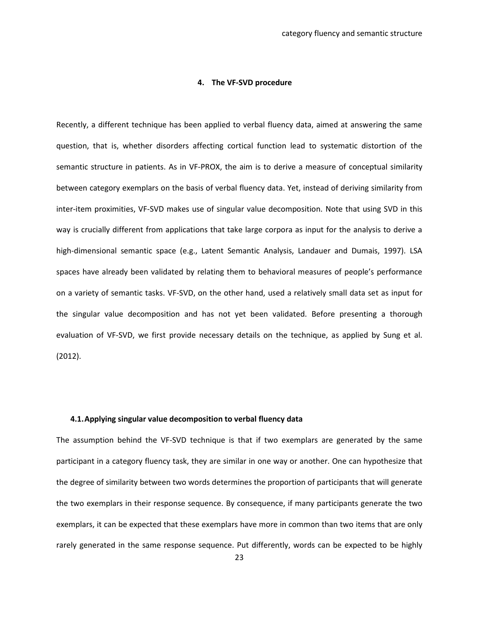### **4. The VF-SVD procedure**

Recently, a different technique has been applied to verbal fluency data, aimed at answering the same question, that is, whether disorders affecting cortical function lead to systematic distortion of the semantic structure in patients. As in VF-PROX, the aim is to derive a measure of conceptual similarity between category exemplars on the basis of verbal fluency data. Yet, instead of deriving similarity from inter-item proximities, VF-SVD makes use of singular value decomposition. Note that using SVD in this way is crucially different from applications that take large corpora as input for the analysis to derive a high-dimensional semantic space (e.g., Latent Semantic Analysis, Landauer and Dumais, 1997). LSA spaces have already been validated by relating them to behavioral measures of people's performance on a variety of semantic tasks. VF-SVD, on the other hand, used a relatively small data set as input for the singular value decomposition and has not yet been validated. Before presenting a thorough evaluation of VF-SVD, we first provide necessary details on the technique, as applied by Sung et al. (2012).

#### **4.1.Applying singular value decomposition to verbal fluency data**

The assumption behind the VF-SVD technique is that if two exemplars are generated by the same participant in a category fluency task, they are similar in one way or another. One can hypothesize that the degree of similarity between two words determines the proportion of participants that will generate the two exemplars in their response sequence. By consequence, if many participants generate the two exemplars, it can be expected that these exemplars have more in common than two items that are only rarely generated in the same response sequence. Put differently, words can be expected to be highly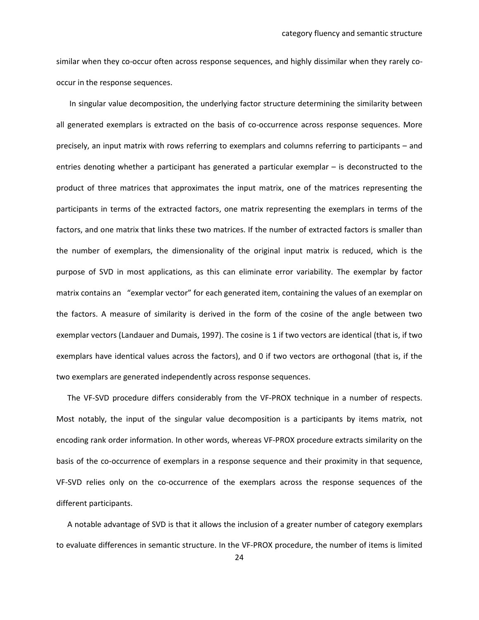similar when they co-occur often across response sequences, and highly dissimilar when they rarely cooccur in the response sequences.

In singular value decomposition, the underlying factor structure determining the similarity between all generated exemplars is extracted on the basis of co-occurrence across response sequences. More precisely, an input matrix with rows referring to exemplars and columns referring to participants – and entries denoting whether a participant has generated a particular exemplar – is deconstructed to the product of three matrices that approximates the input matrix, one of the matrices representing the participants in terms of the extracted factors, one matrix representing the exemplars in terms of the factors, and one matrix that links these two matrices. If the number of extracted factors is smaller than the number of exemplars, the dimensionality of the original input matrix is reduced, which is the purpose of SVD in most applications, as this can eliminate error variability. The exemplar by factor matrix contains an "exemplar vector" for each generated item, containing the values of an exemplar on the factors. A measure of similarity is derived in the form of the cosine of the angle between two exemplar vectors (Landauer and Dumais, 1997). The cosine is 1 if two vectors are identical (that is, if two exemplars have identical values across the factors), and 0 if two vectors are orthogonal (that is, if the two exemplars are generated independently across response sequences.

The VF-SVD procedure differs considerably from the VF-PROX technique in a number of respects. Most notably, the input of the singular value decomposition is a participants by items matrix, not encoding rank order information. In other words, whereas VF-PROX procedure extracts similarity on the basis of the co-occurrence of exemplars in a response sequence and their proximity in that sequence, VF-SVD relies only on the co-occurrence of the exemplars across the response sequences of the different participants.

A notable advantage of SVD is that it allows the inclusion of a greater number of category exemplars to evaluate differences in semantic structure. In the VF-PROX procedure, the number of items is limited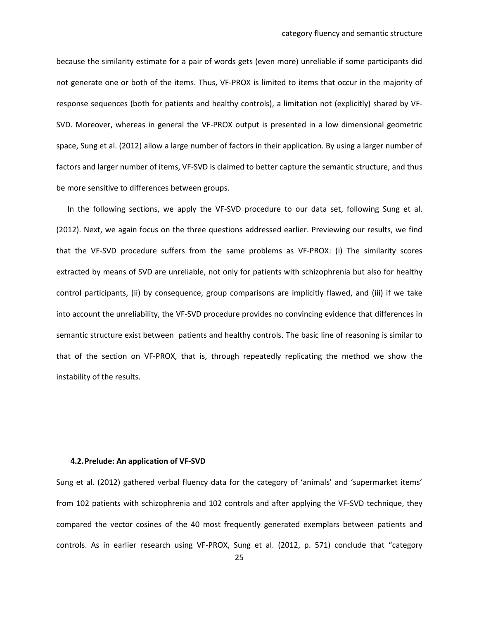because the similarity estimate for a pair of words gets (even more) unreliable if some participants did not generate one or both of the items. Thus, VF-PROX is limited to items that occur in the majority of response sequences (both for patients and healthy controls), a limitation not (explicitly) shared by VF-SVD. Moreover, whereas in general the VF-PROX output is presented in a low dimensional geometric space, Sung et al. (2012) allow a large number of factors in their application. By using a larger number of factors and larger number of items, VF-SVD is claimed to better capture the semantic structure, and thus be more sensitive to differences between groups.

In the following sections, we apply the VF-SVD procedure to our data set, following Sung et al. (2012). Next, we again focus on the three questions addressed earlier. Previewing our results, we find that the VF-SVD procedure suffers from the same problems as VF-PROX: (i) The similarity scores extracted by means of SVD are unreliable, not only for patients with schizophrenia but also for healthy control participants, (ii) by consequence, group comparisons are implicitly flawed, and (iii) if we take into account the unreliability, the VF-SVD procedure provides no convincing evidence that differences in semantic structure exist between patients and healthy controls. The basic line of reasoning is similar to that of the section on VF-PROX, that is, through repeatedly replicating the method we show the instability of the results.

#### **4.2.Prelude: An application of VF-SVD**

Sung et al. (2012) gathered verbal fluency data for the category of 'animals' and 'supermarket items' from 102 patients with schizophrenia and 102 controls and after applying the VF-SVD technique, they compared the vector cosines of the 40 most frequently generated exemplars between patients and controls. As in earlier research using VF-PROX, Sung et al. (2012, p. 571) conclude that "category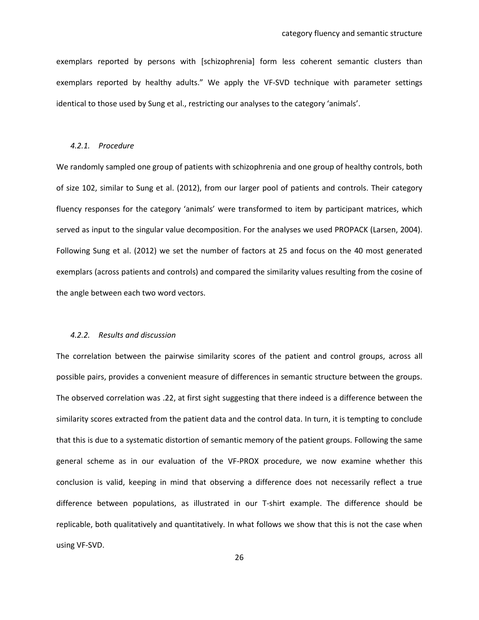exemplars reported by persons with [schizophrenia] form less coherent semantic clusters than exemplars reported by healthy adults." We apply the VF-SVD technique with parameter settings identical to those used by Sung et al., restricting our analyses to the category 'animals'.

# *4.2.1. Procedure*

We randomly sampled one group of patients with schizophrenia and one group of healthy controls, both of size 102, similar to Sung et al. (2012), from our larger pool of patients and controls. Their category fluency responses for the category 'animals' were transformed to item by participant matrices, which served as input to the singular value decomposition. For the analyses we used PROPACK (Larsen, 2004). Following Sung et al. (2012) we set the number of factors at 25 and focus on the 40 most generated exemplars (across patients and controls) and compared the similarity values resulting from the cosine of the angle between each two word vectors.

#### *4.2.2. Results and discussion*

The correlation between the pairwise similarity scores of the patient and control groups, across all possible pairs, provides a convenient measure of differences in semantic structure between the groups. The observed correlation was .22, at first sight suggesting that there indeed is a difference between the similarity scores extracted from the patient data and the control data. In turn, it is tempting to conclude that this is due to a systematic distortion of semantic memory of the patient groups. Following the same general scheme as in our evaluation of the VF-PROX procedure, we now examine whether this conclusion is valid, keeping in mind that observing a difference does not necessarily reflect a true difference between populations, as illustrated in our T-shirt example. The difference should be replicable, both qualitatively and quantitatively. In what follows we show that this is not the case when using VF-SVD.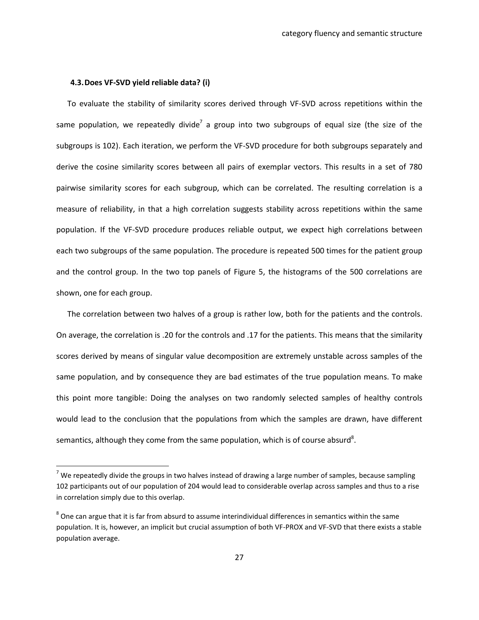#### **4.3.Does VF-SVD yield reliable data? (i)**

 $\overline{\phantom{a}}$ 

To evaluate the stability of similarity scores derived through VF-SVD across repetitions within the same population, we repeatedly divide<sup>7</sup> a group into two subgroups of equal size (the size of the subgroups is 102). Each iteration, we perform the VF-SVD procedure for both subgroups separately and derive the cosine similarity scores between all pairs of exemplar vectors. This results in a set of 780 pairwise similarity scores for each subgroup, which can be correlated. The resulting correlation is a measure of reliability, in that a high correlation suggests stability across repetitions within the same population. If the VF-SVD procedure produces reliable output, we expect high correlations between each two subgroups of the same population. The procedure is repeated 500 times for the patient group and the control group. In the two top panels of Figure 5, the histograms of the 500 correlations are shown, one for each group.

The correlation between two halves of a group is rather low, both for the patients and the controls. On average, the correlation is .20 for the controls and .17 for the patients. This means that the similarity scores derived by means of singular value decomposition are extremely unstable across samples of the same population, and by consequence they are bad estimates of the true population means. To make this point more tangible: Doing the analyses on two randomly selected samples of healthy controls would lead to the conclusion that the populations from which the samples are drawn, have different semantics, although they come from the same population, which is of course absurd<sup>8</sup>.

 $7$  We repeatedly divide the groups in two halves instead of drawing a large number of samples, because sampling 102 participants out of our population of 204 would lead to considerable overlap across samples and thus to a rise in correlation simply due to this overlap.

 $^8$  One can argue that it is far from absurd to assume interindividual differences in semantics within the same population. It is, however, an implicit but crucial assumption of both VF-PROX and VF-SVD that there exists a stable population average.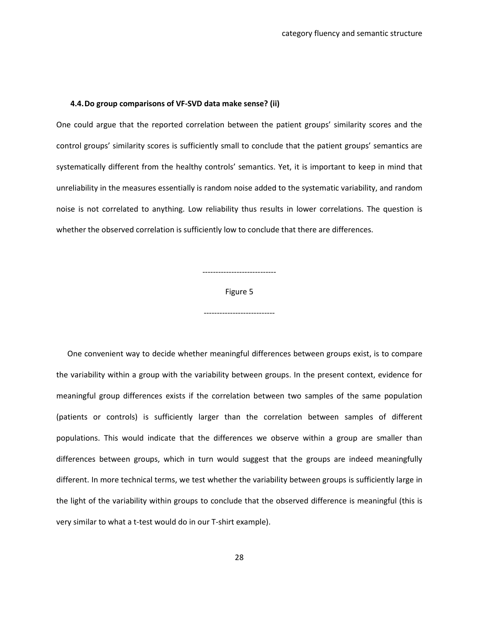# **4.4.Do group comparisons of VF-SVD data make sense? (ii)**

One could argue that the reported correlation between the patient groups' similarity scores and the control groups' similarity scores is sufficiently small to conclude that the patient groups' semantics are systematically different from the healthy controls' semantics. Yet, it is important to keep in mind that unreliability in the measures essentially is random noise added to the systematic variability, and random noise is not correlated to anything. Low reliability thus results in lower correlations. The question is whether the observed correlation is sufficiently low to conclude that there are differences.

Figure 5

----------------------------

---------------------------

One convenient way to decide whether meaningful differences between groups exist, is to compare the variability within a group with the variability between groups. In the present context, evidence for meaningful group differences exists if the correlation between two samples of the same population (patients or controls) is sufficiently larger than the correlation between samples of different populations. This would indicate that the differences we observe within a group are smaller than differences between groups, which in turn would suggest that the groups are indeed meaningfully different. In more technical terms, we test whether the variability between groups is sufficiently large in the light of the variability within groups to conclude that the observed difference is meaningful (this is very similar to what a t-test would do in our T-shirt example).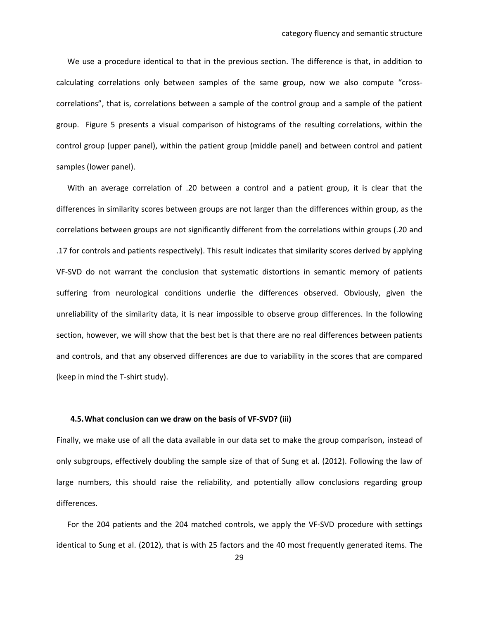We use a procedure identical to that in the previous section. The difference is that, in addition to calculating correlations only between samples of the same group, now we also compute "crosscorrelations", that is, correlations between a sample of the control group and a sample of the patient group. Figure 5 presents a visual comparison of histograms of the resulting correlations, within the control group (upper panel), within the patient group (middle panel) and between control and patient samples (lower panel).

With an average correlation of .20 between a control and a patient group, it is clear that the differences in similarity scores between groups are not larger than the differences within group, as the correlations between groups are not significantly different from the correlations within groups (.20 and .17 for controls and patients respectively). This result indicates that similarity scores derived by applying VF-SVD do not warrant the conclusion that systematic distortions in semantic memory of patients suffering from neurological conditions underlie the differences observed. Obviously, given the unreliability of the similarity data, it is near impossible to observe group differences. In the following section, however, we will show that the best bet is that there are no real differences between patients and controls, and that any observed differences are due to variability in the scores that are compared (keep in mind the T-shirt study).

# **4.5.What conclusion can we draw on the basis of VF-SVD? (iii)**

Finally, we make use of all the data available in our data set to make the group comparison, instead of only subgroups, effectively doubling the sample size of that of Sung et al. (2012). Following the law of large numbers, this should raise the reliability, and potentially allow conclusions regarding group differences.

For the 204 patients and the 204 matched controls, we apply the VF-SVD procedure with settings identical to Sung et al. (2012), that is with 25 factors and the 40 most frequently generated items. The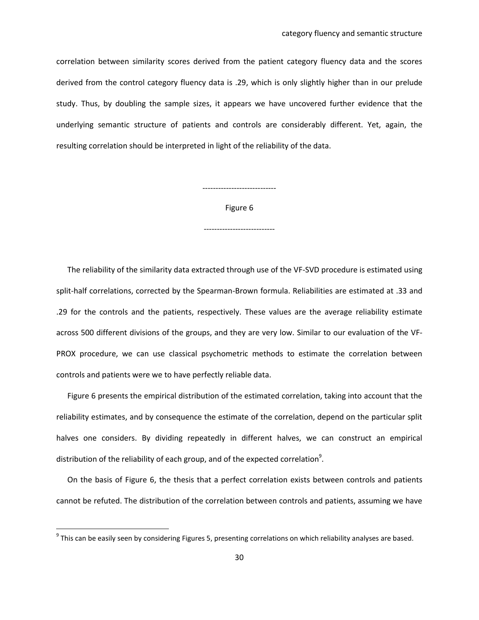correlation between similarity scores derived from the patient category fluency data and the scores derived from the control category fluency data is .29, which is only slightly higher than in our prelude study. Thus, by doubling the sample sizes, it appears we have uncovered further evidence that the underlying semantic structure of patients and controls are considerably different. Yet, again, the resulting correlation should be interpreted in light of the reliability of the data.

Figure 6

---------------------------

----------------------------

The reliability of the similarity data extracted through use of the VF-SVD procedure is estimated using split-half correlations, corrected by the Spearman-Brown formula. Reliabilities are estimated at .33 and .29 for the controls and the patients, respectively. These values are the average reliability estimate across 500 different divisions of the groups, and they are very low. Similar to our evaluation of the VF-PROX procedure, we can use classical psychometric methods to estimate the correlation between controls and patients were we to have perfectly reliable data.

Figure 6 presents the empirical distribution of the estimated correlation, taking into account that the reliability estimates, and by consequence the estimate of the correlation, depend on the particular split halves one considers. By dividing repeatedly in different halves, we can construct an empirical distribution of the reliability of each group, and of the expected correlation<sup>9</sup>.

On the basis of Figure 6, the thesis that a perfect correlation exists between controls and patients cannot be refuted. The distribution of the correlation between controls and patients, assuming we have

 $\overline{\phantom{a}}$ 

 $^9$  This can be easily seen by considering Figures 5, presenting correlations on which reliability analyses are based.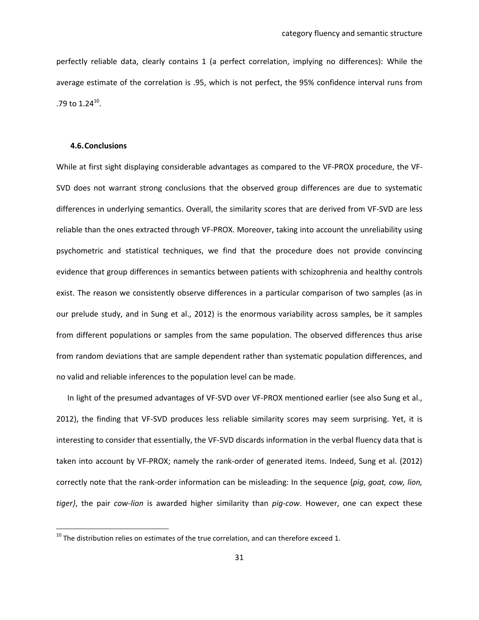perfectly reliable data, clearly contains 1 (a perfect correlation, implying no differences): While the average estimate of the correlation is .95, which is not perfect, the 95% confidence interval runs from .79 to  $1.24^{10}$ .

#### **4.6.Conclusions**

 $\overline{\phantom{a}}$ 

While at first sight displaying considerable advantages as compared to the VF-PROX procedure, the VF-SVD does not warrant strong conclusions that the observed group differences are due to systematic differences in underlying semantics. Overall, the similarity scores that are derived from VF-SVD are less reliable than the ones extracted through VF-PROX. Moreover, taking into account the unreliability using psychometric and statistical techniques, we find that the procedure does not provide convincing evidence that group differences in semantics between patients with schizophrenia and healthy controls exist. The reason we consistently observe differences in a particular comparison of two samples (as in our prelude study, and in Sung et al., 2012) is the enormous variability across samples, be it samples from different populations or samples from the same population. The observed differences thus arise from random deviations that are sample dependent rather than systematic population differences, and no valid and reliable inferences to the population level can be made.

In light of the presumed advantages of VF-SVD over VF-PROX mentioned earlier (see also Sung et al., 2012), the finding that VF-SVD produces less reliable similarity scores may seem surprising. Yet, it is interesting to consider that essentially, the VF-SVD discards information in the verbal fluency data that is taken into account by VF-PROX; namely the rank-order of generated items. Indeed, Sung et al. (2012) correctly note that the rank-order information can be misleading: In the sequence {*pig*, *goat, cow, lion, tiger}*, the pair *cow*-*lion* is awarded higher similarity than *pig*-*cow*. However, one can expect these

 $10$  The distribution relies on estimates of the true correlation, and can therefore exceed 1.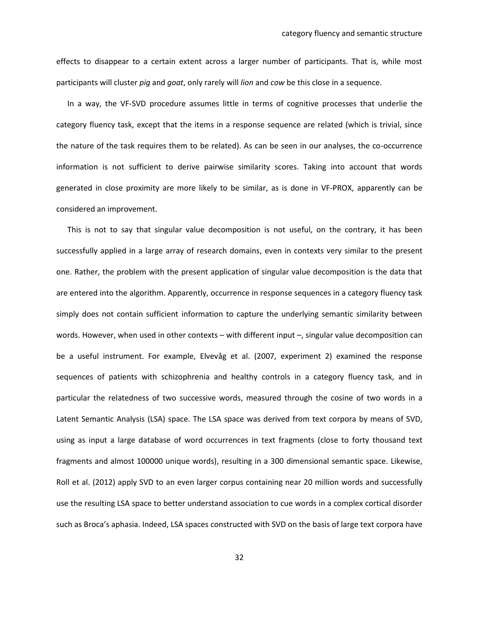effects to disappear to a certain extent across a larger number of participants. That is, while most participants will cluster *pig* and *goat*, only rarely will *lion* and *cow* be this close in a sequence.

In a way, the VF-SVD procedure assumes little in terms of cognitive processes that underlie the category fluency task, except that the items in a response sequence are related (which is trivial, since the nature of the task requires them to be related). As can be seen in our analyses, the co-occurrence information is not sufficient to derive pairwise similarity scores. Taking into account that words generated in close proximity are more likely to be similar, as is done in VF-PROX, apparently can be considered an improvement.

This is not to say that singular value decomposition is not useful, on the contrary, it has been successfully applied in a large array of research domains, even in contexts very similar to the present one. Rather, the problem with the present application of singular value decomposition is the data that are entered into the algorithm. Apparently, occurrence in response sequences in a category fluency task simply does not contain sufficient information to capture the underlying semantic similarity between words. However, when used in other contexts - with different input -, singular value decomposition can be a useful instrument. For example, Elvevåg et al. (2007, experiment 2) examined the response sequences of patients with schizophrenia and healthy controls in a category fluency task, and in particular the relatedness of two successive words, measured through the cosine of two words in a Latent Semantic Analysis (LSA) space. The LSA space was derived from text corpora by means of SVD, using as input a large database of word occurrences in text fragments (close to forty thousand text fragments and almost 100000 unique words), resulting in a 300 dimensional semantic space. Likewise, Roll et al. (2012) apply SVD to an even larger corpus containing near 20 million words and successfully use the resulting LSA space to better understand association to cue words in a complex cortical disorder such as Broca's aphasia. Indeed, LSA spaces constructed with SVD on the basis of large text corpora have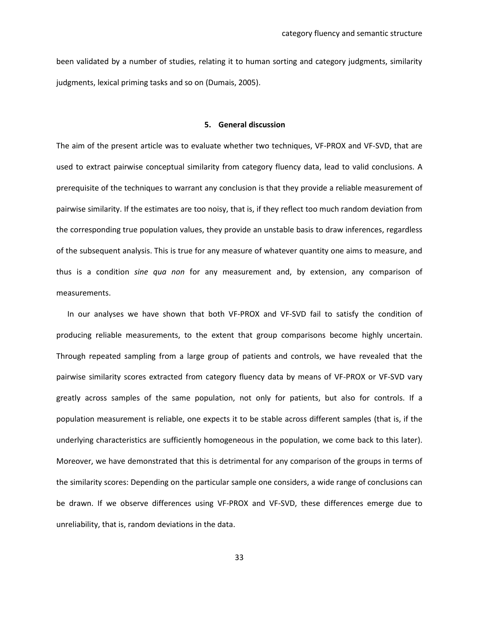been validated by a number of studies, relating it to human sorting and category judgments, similarity judgments, lexical priming tasks and so on (Dumais, 2005).

# **5. General discussion**

The aim of the present article was to evaluate whether two techniques, VF-PROX and VF-SVD, that are used to extract pairwise conceptual similarity from category fluency data, lead to valid conclusions. A prerequisite of the techniques to warrant any conclusion is that they provide a reliable measurement of pairwise similarity. If the estimates are too noisy, that is, if they reflect too much random deviation from the corresponding true population values, they provide an unstable basis to draw inferences, regardless of the subsequent analysis. This is true for any measure of whatever quantity one aims to measure, and thus is a condition *sine qua non* for any measurement and, by extension, any comparison of measurements.

In our analyses we have shown that both VF-PROX and VF-SVD fail to satisfy the condition of producing reliable measurements, to the extent that group comparisons become highly uncertain. Through repeated sampling from a large group of patients and controls, we have revealed that the pairwise similarity scores extracted from category fluency data by means of VF-PROX or VF-SVD vary greatly across samples of the same population, not only for patients, but also for controls. If a population measurement is reliable, one expects it to be stable across different samples (that is, if the underlying characteristics are sufficiently homogeneous in the population, we come back to this later). Moreover, we have demonstrated that this is detrimental for any comparison of the groups in terms of the similarity scores: Depending on the particular sample one considers, a wide range of conclusions can be drawn. If we observe differences using VF-PROX and VF-SVD, these differences emerge due to unreliability, that is, random deviations in the data.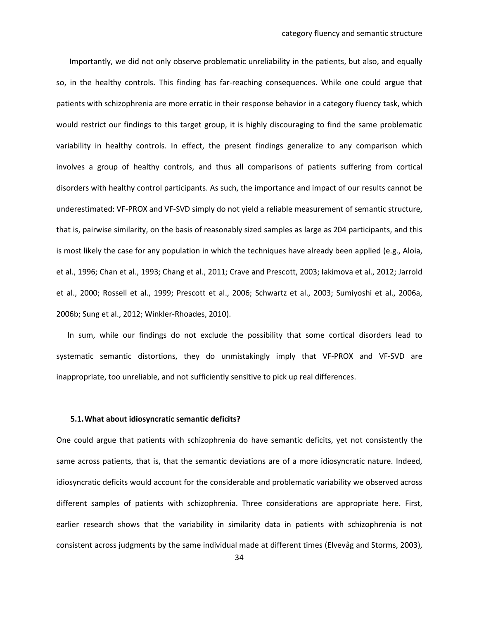Importantly, we did not only observe problematic unreliability in the patients, but also, and equally so, in the healthy controls. This finding has far-reaching consequences. While one could argue that patients with schizophrenia are more erratic in their response behavior in a category fluency task, which would restrict our findings to this target group, it is highly discouraging to find the same problematic variability in healthy controls. In effect, the present findings generalize to any comparison which involves a group of healthy controls, and thus all comparisons of patients suffering from cortical disorders with healthy control participants. As such, the importance and impact of our results cannot be underestimated: VF-PROX and VF-SVD simply do not yield a reliable measurement of semantic structure, that is, pairwise similarity, on the basis of reasonably sized samples as large as 204 participants, and this is most likely the case for any population in which the techniques have already been applied (e.g., Aloia, et al., 1996; Chan et al., 1993; Chang et al., 2011; Crave and Prescott, 2003; Iakimova et al., 2012; Jarrold et al., 2000; Rossell et al., 1999; Prescott et al., 2006; Schwartz et al., 2003; Sumiyoshi et al., 2006a, 2006b; Sung et al., 2012; Winkler-Rhoades, 2010).

In sum, while our findings do not exclude the possibility that some cortical disorders lead to systematic semantic distortions, they do unmistakingly imply that VF-PROX and VF-SVD are inappropriate, too unreliable, and not sufficiently sensitive to pick up real differences.

#### **5.1.What about idiosyncratic semantic deficits?**

One could argue that patients with schizophrenia do have semantic deficits, yet not consistently the same across patients, that is, that the semantic deviations are of a more idiosyncratic nature. Indeed, idiosyncratic deficits would account for the considerable and problematic variability we observed across different samples of patients with schizophrenia. Three considerations are appropriate here. First, earlier research shows that the variability in similarity data in patients with schizophrenia is not consistent across judgments by the same individual made at different times (Elvevåg and Storms, 2003),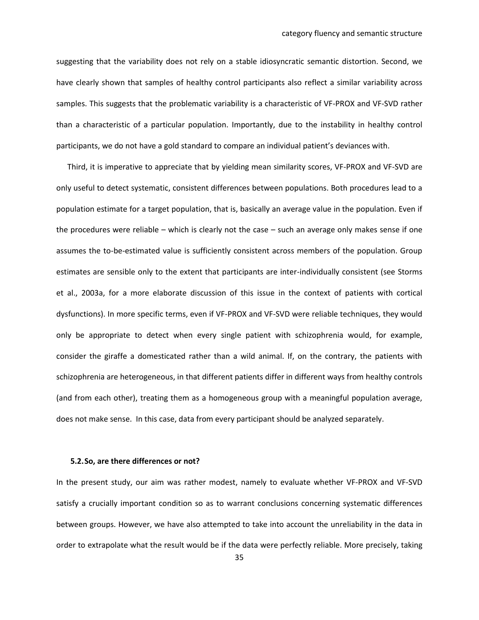suggesting that the variability does not rely on a stable idiosyncratic semantic distortion. Second, we have clearly shown that samples of healthy control participants also reflect a similar variability across samples. This suggests that the problematic variability is a characteristic of VF-PROX and VF-SVD rather than a characteristic of a particular population. Importantly, due to the instability in healthy control participants, we do not have a gold standard to compare an individual patient's deviances with.

Third, it is imperative to appreciate that by yielding mean similarity scores, VF-PROX and VF-SVD are only useful to detect systematic, consistent differences between populations. Both procedures lead to a population estimate for a target population, that is, basically an average value in the population. Even if the procedures were reliable – which is clearly not the case – such an average only makes sense if one assumes the to-be-estimated value is sufficiently consistent across members of the population. Group estimates are sensible only to the extent that participants are inter-individually consistent (see Storms et al., 2003a, for a more elaborate discussion of this issue in the context of patients with cortical dysfunctions). In more specific terms, even if VF-PROX and VF-SVD were reliable techniques, they would only be appropriate to detect when every single patient with schizophrenia would, for example, consider the giraffe a domesticated rather than a wild animal. If, on the contrary, the patients with schizophrenia are heterogeneous, in that different patients differ in different ways from healthy controls (and from each other), treating them as a homogeneous group with a meaningful population average, does not make sense. In this case, data from every participant should be analyzed separately.

#### **5.2.So, are there differences or not?**

In the present study, our aim was rather modest, namely to evaluate whether VF-PROX and VF-SVD satisfy a crucially important condition so as to warrant conclusions concerning systematic differences between groups. However, we have also attempted to take into account the unreliability in the data in order to extrapolate what the result would be if the data were perfectly reliable. More precisely, taking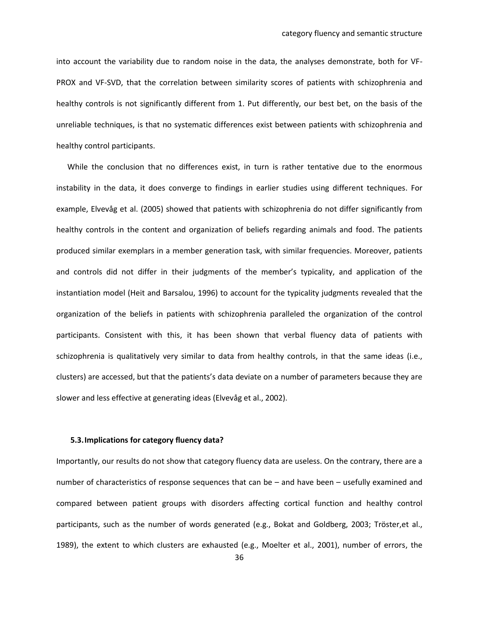into account the variability due to random noise in the data, the analyses demonstrate, both for VF-PROX and VF-SVD, that the correlation between similarity scores of patients with schizophrenia and healthy controls is not significantly different from 1. Put differently, our best bet, on the basis of the unreliable techniques, is that no systematic differences exist between patients with schizophrenia and healthy control participants.

While the conclusion that no differences exist, in turn is rather tentative due to the enormous instability in the data, it does converge to findings in earlier studies using different techniques. For example, Elvevåg et al. (2005) showed that patients with schizophrenia do not differ significantly from healthy controls in the content and organization of beliefs regarding animals and food. The patients produced similar exemplars in a member generation task, with similar frequencies. Moreover, patients and controls did not differ in their judgments of the member's typicality, and application of the instantiation model (Heit and Barsalou, 1996) to account for the typicality judgments revealed that the organization of the beliefs in patients with schizophrenia paralleled the organization of the control participants. Consistent with this, it has been shown that verbal fluency data of patients with schizophrenia is qualitatively very similar to data from healthy controls, in that the same ideas (i.e., clusters) are accessed, but that the patients's data deviate on a number of parameters because they are slower and less effective at generating ideas (Elvevåg et al., 2002).

#### **5.3.Implications for category fluency data?**

Importantly, our results do not show that category fluency data are useless. On the contrary, there are a number of characteristics of response sequences that can be – and have been – usefully examined and compared between patient groups with disorders affecting cortical function and healthy control participants, such as the number of words generated (e.g., Bokat and Goldberg, 2003; Tröster,et al., 1989), the extent to which clusters are exhausted (e.g., Moelter et al., 2001), number of errors, the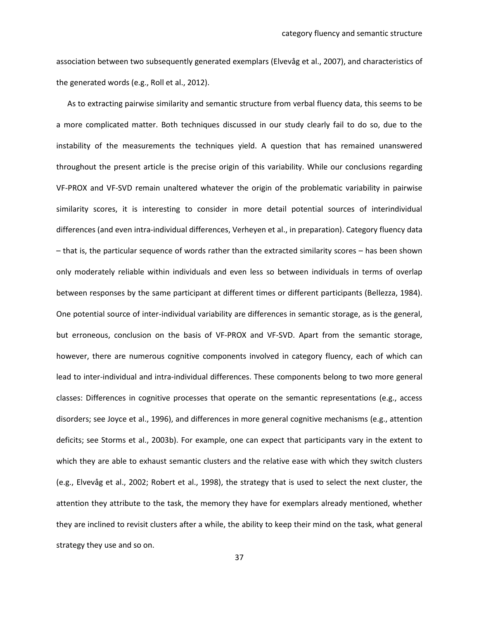association between two subsequently generated exemplars (Elvevåg et al., 2007), and characteristics of the generated words (e.g., Roll et al., 2012).

As to extracting pairwise similarity and semantic structure from verbal fluency data, this seems to be a more complicated matter. Both techniques discussed in our study clearly fail to do so, due to the instability of the measurements the techniques yield. A question that has remained unanswered throughout the present article is the precise origin of this variability. While our conclusions regarding VF-PROX and VF-SVD remain unaltered whatever the origin of the problematic variability in pairwise similarity scores, it is interesting to consider in more detail potential sources of interindividual differences (and even intra-individual differences, Verheyen et al., in preparation). Category fluency data – that is, the particular sequence of words rather than the extracted similarity scores – has been shown only moderately reliable within individuals and even less so between individuals in terms of overlap between responses by the same participant at different times or different participants (Bellezza, 1984). One potential source of inter-individual variability are differences in semantic storage, as is the general, but erroneous, conclusion on the basis of VF-PROX and VF-SVD. Apart from the semantic storage, however, there are numerous cognitive components involved in category fluency, each of which can lead to inter-individual and intra-individual differences. These components belong to two more general classes: Differences in cognitive processes that operate on the semantic representations (e.g., access disorders; see Joyce et al., 1996), and differences in more general cognitive mechanisms (e.g., attention deficits; see Storms et al., 2003b). For example, one can expect that participants vary in the extent to which they are able to exhaust semantic clusters and the relative ease with which they switch clusters (e.g., Elvevåg et al., 2002; Robert et al., 1998), the strategy that is used to select the next cluster, the attention they attribute to the task, the memory they have for exemplars already mentioned, whether they are inclined to revisit clusters after a while, the ability to keep their mind on the task, what general strategy they use and so on.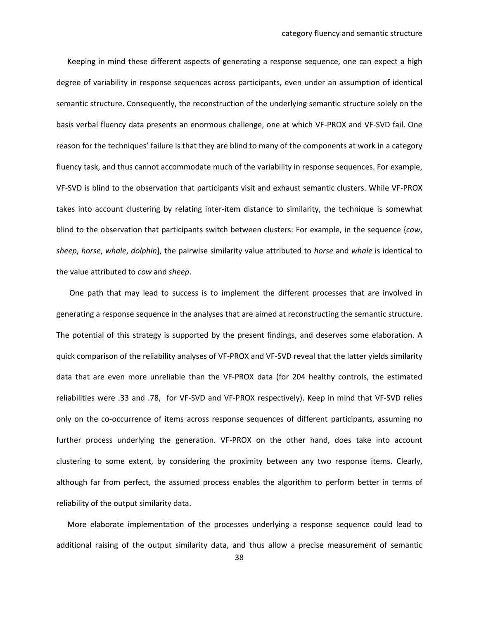Keeping in mind these different aspects of generating a response sequence, one can expect a high degree of variability in response sequences across participants, even under an assumption of identical semantic structure. Consequently, the reconstruction of the underlying semantic structure solely on the basis verbal fluency data presents an enormous challenge, one at which VF-PROX and VF-SVD fail. One reason for the techniques' failure is that they are blind to many of the components at work in a category fluency task, and thus cannot accommodate much of the variability in response sequences. For example, VF-SVD is blind to the observation that participants visit and exhaust semantic clusters. While VF-PROX takes into account clustering by relating inter-item distance to similarity, the technique is somewhat blind to the observation that participants switch between clusters: For example, in the sequence {*cow*, *sheep*, *horse*, *whale*, *dolphin*}, the pairwise similarity value attributed to *horse* and *whale* is identical to the value attributed to *cow* and *sheep*.

One path that may lead to success is to implement the different processes that are involved in generating a response sequence in the analyses that are aimed at reconstructing the semantic structure. The potential of this strategy is supported by the present findings, and deserves some elaboration. A quick comparison of the reliability analyses of VF-PROX and VF-SVD reveal that the latter yields similarity data that are even more unreliable than the VF-PROX data (for 204 healthy controls, the estimated reliabilities were .33 and .78, for VF-SVD and VF-PROX respectively). Keep in mind that VF-SVD relies only on the co-occurrence of items across response sequences of different participants, assuming no further process underlying the generation. VF-PROX on the other hand, does take into account clustering to some extent, by considering the proximity between any two response items. Clearly, although far from perfect, the assumed process enables the algorithm to perform better in terms of reliability of the output similarity data.

More elaborate implementation of the processes underlying a response sequence could lead to additional raising of the output similarity data, and thus allow a precise measurement of semantic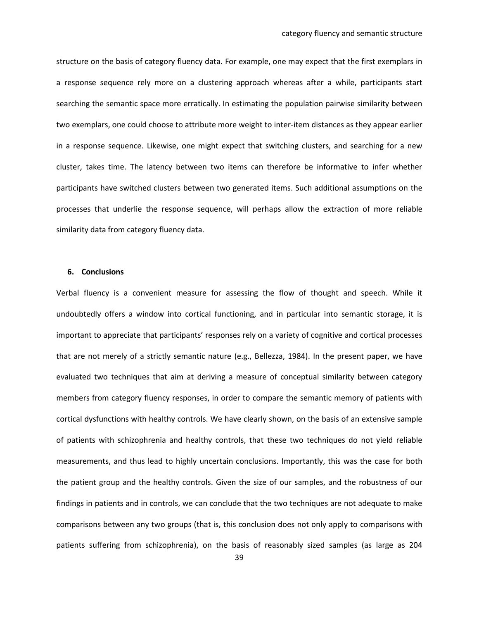structure on the basis of category fluency data. For example, one may expect that the first exemplars in a response sequence rely more on a clustering approach whereas after a while, participants start searching the semantic space more erratically. In estimating the population pairwise similarity between two exemplars, one could choose to attribute more weight to inter-item distances as they appear earlier in a response sequence. Likewise, one might expect that switching clusters, and searching for a new cluster, takes time. The latency between two items can therefore be informative to infer whether participants have switched clusters between two generated items. Such additional assumptions on the processes that underlie the response sequence, will perhaps allow the extraction of more reliable similarity data from category fluency data.

# **6. Conclusions**

Verbal fluency is a convenient measure for assessing the flow of thought and speech. While it undoubtedly offers a window into cortical functioning, and in particular into semantic storage, it is important to appreciate that participants' responses rely on a variety of cognitive and cortical processes that are not merely of a strictly semantic nature (e.g., Bellezza, 1984). In the present paper, we have evaluated two techniques that aim at deriving a measure of conceptual similarity between category members from category fluency responses, in order to compare the semantic memory of patients with cortical dysfunctions with healthy controls. We have clearly shown, on the basis of an extensive sample of patients with schizophrenia and healthy controls, that these two techniques do not yield reliable measurements, and thus lead to highly uncertain conclusions. Importantly, this was the case for both the patient group and the healthy controls. Given the size of our samples, and the robustness of our findings in patients and in controls, we can conclude that the two techniques are not adequate to make comparisons between any two groups (that is, this conclusion does not only apply to comparisons with patients suffering from schizophrenia), on the basis of reasonably sized samples (as large as 204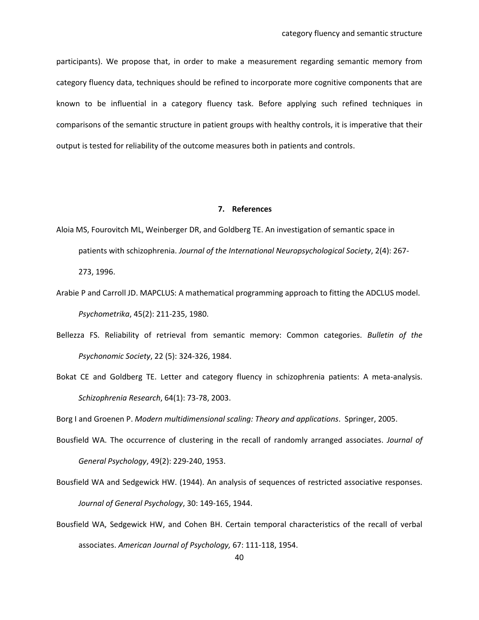participants). We propose that, in order to make a measurement regarding semantic memory from category fluency data, techniques should be refined to incorporate more cognitive components that are known to be influential in a category fluency task. Before applying such refined techniques in comparisons of the semantic structure in patient groups with healthy controls, it is imperative that their output is tested for reliability of the outcome measures both in patients and controls.

# **7. References**

- Aloia MS, Fourovitch ML, Weinberger DR, and Goldberg TE. An investigation of semantic space in patients with schizophrenia. *Journal of the International Neuropsychological Society*, 2(4): 267- 273, 1996.
- Arabie P and Carroll JD. MAPCLUS: A mathematical programming approach to fitting the ADCLUS model. *Psychometrika*, 45(2): 211-235, 1980.
- Bellezza FS. Reliability of retrieval from semantic memory: Common categories. *Bulletin of the Psychonomic Society*, 22 (5): 324-326, 1984.
- Bokat CE and Goldberg TE. Letter and category fluency in schizophrenia patients: A meta-analysis. *Schizophrenia Research*, 64(1): 73-78, 2003.

Borg I and Groenen P. *Modern multidimensional scaling: Theory and applications*. Springer, 2005.

- Bousfield WA. The occurrence of clustering in the recall of randomly arranged associates. *Journal of General Psychology*, 49(2): 229-240, 1953.
- Bousfield WA and Sedgewick HW. (1944). An analysis of sequences of restricted associative responses. *Journal of General Psychology*, 30: 149-165, 1944.
- Bousfield WA, Sedgewick HW, and Cohen BH. Certain temporal characteristics of the recall of verbal associates. *American Journal of Psychology,* 67: 111-118, 1954.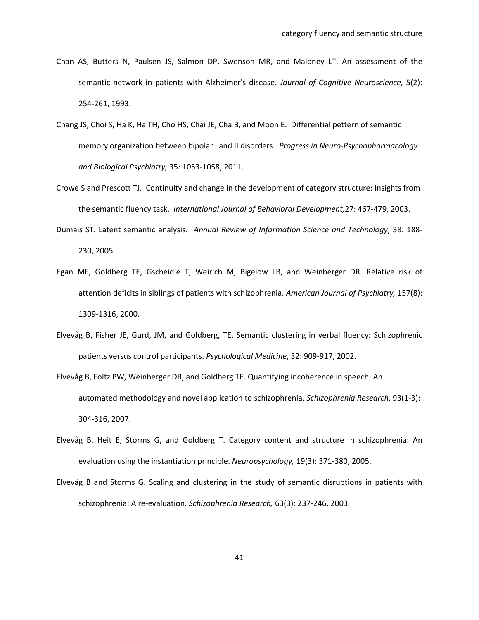- Chan AS, Butters N, Paulsen JS, Salmon DP, Swenson MR, and Maloney LT. An assessment of the semantic network in patients with Alzheimer's disease. *Journal of Cognitive Neuroscience,* 5(2): 254-261, 1993.
- Chang JS, Choi S, Ha K, Ha TH, Cho HS, Chai JE, Cha B, and Moon E. Differential pettern of semantic memory organization between bipolar I and II disorders. *Progress in Neuro-Psychopharmacology and Biological Psychiatry,* 35: 1053-1058, 2011.
- Crowe S and Prescott TJ. Continuity and change in the development of category structure: Insights from the semantic fluency task. *International Journal of Behavioral Development,*27: 467-479, 2003.
- Dumais ST. Latent semantic analysis. *Annual Review of Information Science and Technology*, 38: 188- 230, 2005.
- Egan MF, Goldberg TE, Gscheidle T, Weirich M, Bigelow LB, and Weinberger DR. Relative risk of attention deficits in siblings of patients with schizophrenia. *American Journal of Psychiatry,* 157(8): 1309-1316, 2000.
- Elvevåg B, Fisher JE, Gurd, JM, and Goldberg, TE. Semantic clustering in verbal fluency: Schizophrenic patients versus control participants. *Psychological Medicine*, 32: 909-917, 2002.
- Elvevåg B, Foltz PW, Weinberger DR, and Goldberg TE. Quantifying incoherence in speech: An automated methodology and novel application to schizophrenia. *Schizophrenia Research*, 93(1-3): 304-316, 2007.
- Elvevåg B, Heit E, Storms G, and Goldberg T. Category content and structure in schizophrenia: An evaluation using the instantiation principle. *Neuropsychology,* 19(3): 371-380, 2005.
- Elvevåg B and Storms G. Scaling and clustering in the study of semantic disruptions in patients with schizophrenia: A re-evaluation. *Schizophrenia Research,* 63(3): 237-246, 2003.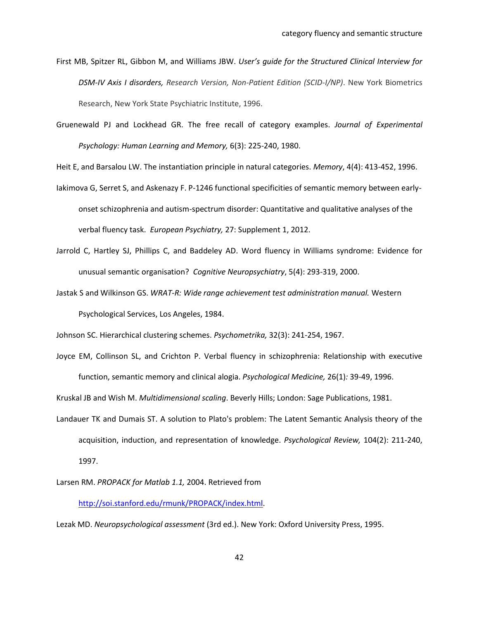- First MB, Spitzer RL, Gibbon M, and Williams JBW. *User's guide for the Structured Clinical Interview for DSM-IV Axis I disorders, Research Version, Non-Patient Edition (SCID-I/NP)*. New York Biometrics Research, New York State Psychiatric Institute, 1996.
- Gruenewald PJ and Lockhead GR. The free recall of category examples. *Journal of Experimental Psychology: Human Learning and Memory,* 6(3): 225-240, 1980.

Heit E, and Barsalou LW. The instantiation principle in natural categories. *Memory*, 4(4): 413-452, 1996.

- Iakimova G, Serret S, and Askenazy F. P-1246 functional specificities of semantic memory between earlyonset schizophrenia and autism-spectrum disorder: Quantitative and qualitative analyses of the verbal fluency task. *European Psychiatry,* 27: Supplement 1, 2012.
- Jarrold C, Hartley SJ, Phillips C, and Baddeley AD. Word fluency in Williams syndrome: Evidence for unusual semantic organisation? *Cognitive Neuropsychiatry*, 5(4): 293-319, 2000.
- Jastak S and Wilkinson GS. *WRAT-R: Wide range achievement test administration manual.* Western Psychological Services, Los Angeles, 1984.

Johnson SC. Hierarchical clustering schemes. *Psychometrika,* 32(3): 241-254, 1967.

Joyce EM, Collinson SL, and Crichton P. Verbal fluency in schizophrenia: Relationship with executive function, semantic memory and clinical alogia. *Psychological Medicine,* 26(1)*:* 39-49, 1996.

Kruskal JB and Wish M. *Multidimensional scaling*. Beverly Hills; London: Sage Publications, 1981.

- Landauer TK and Dumais ST. A solution to Plato's problem: The Latent Semantic Analysis theory of the acquisition, induction, and representation of knowledge. *Psychological Review,* 104(2): 211-240, 1997.
- Larsen RM. *PROPACK for Matlab 1.1,* 2004. Retrieved from

[http://soi.stanford.edu/rmunk/PROPACK/index.html.](http://soi.stanford.edu/rmunk/PROPACK/index.html)

Lezak MD. *Neuropsychological assessment* (3rd ed.). New York: Oxford University Press, 1995.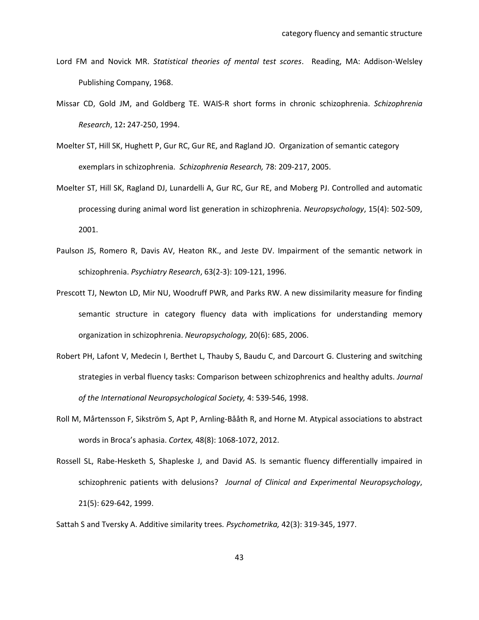- Lord FM and Novick MR. *Statistical theories of mental test scores*. Reading, MA: Addison-Welsley Publishing Company, 1968.
- Missar CD, Gold JM, and Goldberg TE. WAIS-R short forms in chronic schizophrenia. *Schizophrenia Research*, 12**:** 247-250, 1994.
- Moelter ST, Hill SK, Hughett P, Gur RC, Gur RE, and Ragland JO. Organization of semantic category exemplars in schizophrenia. *Schizophrenia Research,* 78: 209-217, 2005.
- Moelter ST, Hill SK, Ragland DJ, Lunardelli A, Gur RC, Gur RE, and Moberg PJ. Controlled and automatic processing during animal word list generation in schizophrenia. *Neuropsychology*, 15(4): 502-509, 2001.
- Paulson JS, Romero R, Davis AV, Heaton RK., and Jeste DV. Impairment of the semantic network in schizophrenia. *Psychiatry Research*, 63(2-3): 109-121, 1996.
- Prescott TJ, Newton LD, Mir NU, Woodruff PWR, and Parks RW. A new dissimilarity measure for finding semantic structure in category fluency data with implications for understanding memory organization in schizophrenia. *Neuropsychology,* 20(6): 685, 2006.
- Robert PH, Lafont V, Medecin I, Berthet L, Thauby S, Baudu C, and Darcourt G. Clustering and switching strategies in verbal fluency tasks: Comparison between schizophrenics and healthy adults. *Journal of the International Neuropsychological Society,* 4: 539-546, 1998.
- Roll M, Mårtensson F, Sikström S, Apt P, Arnling-Bååth R, and Horne M. Atypical associations to abstract words in Broca's aphasia. *Cortex,* 48(8): 1068-1072, 2012.
- Rossell SL, Rabe-Hesketh S, Shapleske J, and David AS. Is semantic fluency differentially impaired in schizophrenic patients with delusions? *Journal of Clinical and Experimental Neuropsychology*, 21(5): 629-642, 1999.

Sattah S and Tversky A. Additive similarity trees*. Psychometrika,* 42(3): 319-345, 1977.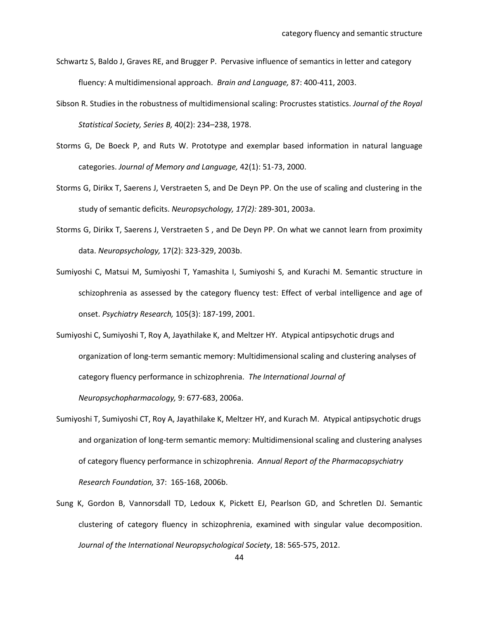- Schwartz S, Baldo J, Graves RE, and Brugger P. Pervasive influence of semantics in letter and category fluency: A multidimensional approach. *Brain and Language,* 87: 400-411, 2003.
- Sibson R. Studies in the robustness of multidimensional scaling: Procrustes statistics. *Journal of the Royal Statistical Society, Series B,* 40(2): 234–238, 1978.
- Storms G, De Boeck P, and Ruts W. Prototype and exemplar based information in natural language categories. *Journal of Memory and Language,* 42(1): 51-73, 2000.
- Storms G, Dirikx T, Saerens J, Verstraeten S, and De Deyn PP. On the use of scaling and clustering in the study of semantic deficits. *Neuropsychology, 17(2):* 289-301, 2003a.
- Storms G, Dirikx T, Saerens J, Verstraeten S , and De Deyn PP. On what we cannot learn from proximity data. *Neuropsychology,* 17(2): 323-329, 2003b.
- Sumiyoshi C, Matsui M, Sumiyoshi T, Yamashita I, Sumiyoshi S, and Kurachi M. Semantic structure in schizophrenia as assessed by the category fluency test: Effect of verbal intelligence and age of onset. *Psychiatry Research,* 105(3): 187-199, 2001.
- Sumiyoshi C, Sumiyoshi T, Roy A, Jayathilake K, and Meltzer HY. Atypical antipsychotic drugs and organization of long-term semantic memory: Multidimensional scaling and clustering analyses of category fluency performance in schizophrenia. *The International Journal of Neuropsychopharmacology,* 9: 677-683, 2006a.
- Sumiyoshi T, Sumiyoshi CT, Roy A, Jayathilake K, Meltzer HY, and Kurach M. Atypical antipsychotic drugs and organization of long-term semantic memory: Multidimensional scaling and clustering analyses of category fluency performance in schizophrenia. *Annual Report of the Pharmacopsychiatry Research Foundation,* 37: 165-168, 2006b.
- Sung K, Gordon B, Vannorsdall TD, Ledoux K, Pickett EJ, Pearlson GD, and Schretlen DJ. Semantic clustering of category fluency in schizophrenia, examined with singular value decomposition. *Journal of the International Neuropsychological Society*, 18: 565-575, 2012.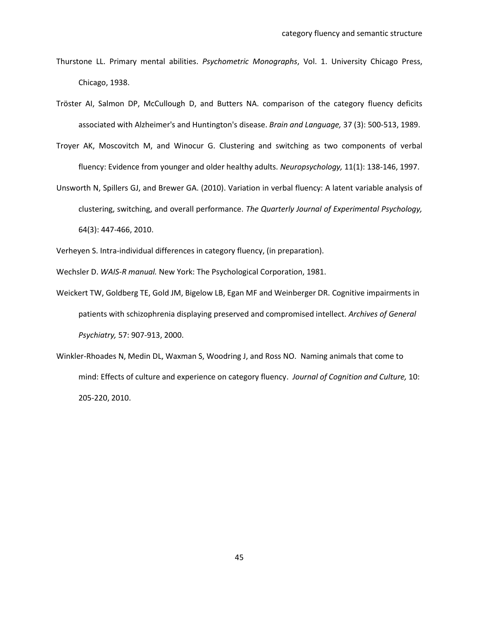- Thurstone LL. Primary mental abilities. *Psychometric Monographs*, Vol. 1. University Chicago Press, Chicago, 1938.
- Tröster AI, Salmon DP, McCullough D, and Butters NA. comparison of the category fluency deficits associated with Alzheimer's and Huntington's disease. *Brain and Language,* 37 (3): 500-513, 1989.
- Troyer AK, Moscovitch M, and Winocur G. Clustering and switching as two components of verbal fluency: Evidence from younger and older healthy adults. *Neuropsychology,* 11(1): 138-146, 1997.
- Unsworth N, Spillers GJ, and Brewer GA. (2010). Variation in verbal fluency: A latent variable analysis of clustering, switching, and overall performance. *The Quarterly Journal of Experimental Psychology,*  64(3): 447-466, 2010.

Verheyen S. Intra-individual differences in category fluency, (in preparation).

Wechsler D. *WAIS-R manual.* New York: The Psychological Corporation, 1981.

- Weickert TW, Goldberg TE, Gold JM, Bigelow LB, Egan MF and Weinberger DR. Cognitive impairments in patients with schizophrenia displaying preserved and compromised intellect. *Archives of General Psychiatry,* 57: 907-913, 2000.
- Winkler-Rhoades N, Medin DL, Waxman S, Woodring J, and Ross NO. Naming animals that come to mind: Effects of culture and experience on category fluency. *Journal of Cognition and Culture,* 10: 205-220, 2010.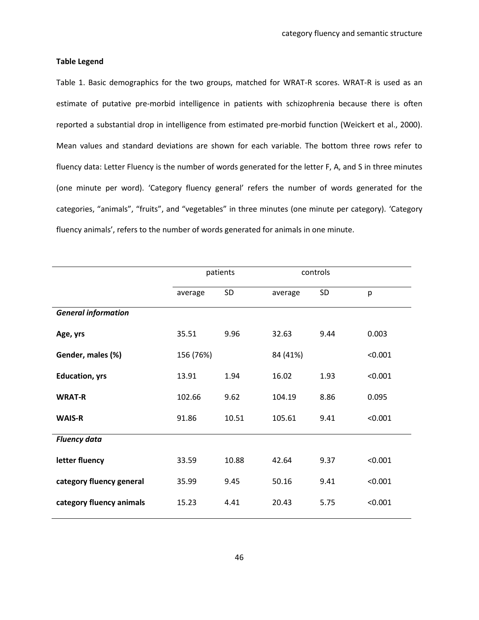# **Table Legend**

Table 1. Basic demographics for the two groups, matched for WRAT-R scores. WRAT-R is used as an estimate of putative pre-morbid intelligence in patients with schizophrenia because there is often reported a substantial drop in intelligence from estimated pre-morbid function (Weickert et al., 2000). Mean values and standard deviations are shown for each variable. The bottom three rows refer to fluency data: Letter Fluency is the number of words generated for the letter F, A, and S in three minutes (one minute per word). 'Category fluency general' refers the number of words generated for the categories, "animals", "fruits", and "vegetables" in three minutes (one minute per category). 'Category fluency animals', refers to the number of words generated for animals in one minute.

|                            | patients  |       | controls |      |         |
|----------------------------|-----------|-------|----------|------|---------|
|                            | average   | SD    | average  | SD   | p       |
| <b>General information</b> |           |       |          |      |         |
| Age, yrs                   | 35.51     | 9.96  | 32.63    | 9.44 | 0.003   |
| Gender, males (%)          | 156 (76%) |       | 84 (41%) |      | < 0.001 |
| <b>Education, yrs</b>      | 13.91     | 1.94  | 16.02    | 1.93 | < 0.001 |
| <b>WRAT-R</b>              | 102.66    | 9.62  | 104.19   | 8.86 | 0.095   |
| <b>WAIS-R</b>              | 91.86     | 10.51 | 105.61   | 9.41 | < 0.001 |
| <b>Fluency data</b>        |           |       |          |      |         |
| letter fluency             | 33.59     | 10.88 | 42.64    | 9.37 | < 0.001 |
| category fluency general   | 35.99     | 9.45  | 50.16    | 9.41 | < 0.001 |
| category fluency animals   | 15.23     | 4.41  | 20.43    | 5.75 | < 0.001 |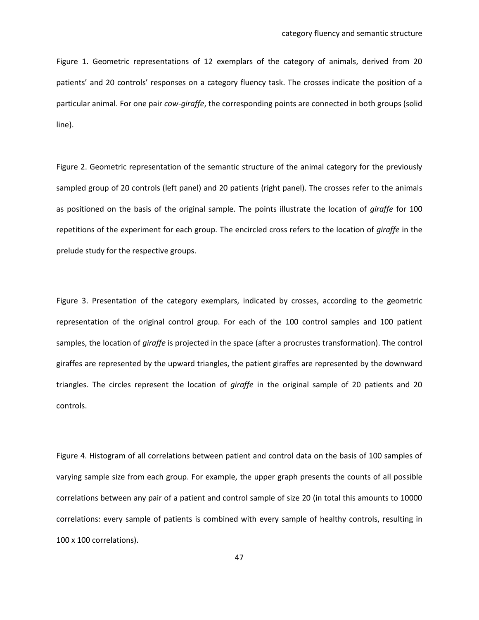Figure 1. Geometric representations of 12 exemplars of the category of animals, derived from 20 patients' and 20 controls' responses on a category fluency task. The crosses indicate the position of a particular animal. For one pair *cow*-*giraffe*, the corresponding points are connected in both groups (solid line).

Figure 2. Geometric representation of the semantic structure of the animal category for the previously sampled group of 20 controls (left panel) and 20 patients (right panel). The crosses refer to the animals as positioned on the basis of the original sample. The points illustrate the location of *giraffe* for 100 repetitions of the experiment for each group. The encircled cross refers to the location of *giraffe* in the prelude study for the respective groups.

Figure 3. Presentation of the category exemplars, indicated by crosses, according to the geometric representation of the original control group. For each of the 100 control samples and 100 patient samples, the location of *giraffe* is projected in the space (after a procrustes transformation). The control giraffes are represented by the upward triangles, the patient giraffes are represented by the downward triangles. The circles represent the location of *giraffe* in the original sample of 20 patients and 20 controls.

Figure 4. Histogram of all correlations between patient and control data on the basis of 100 samples of varying sample size from each group. For example, the upper graph presents the counts of all possible correlations between any pair of a patient and control sample of size 20 (in total this amounts to 10000 correlations: every sample of patients is combined with every sample of healthy controls, resulting in 100 x 100 correlations).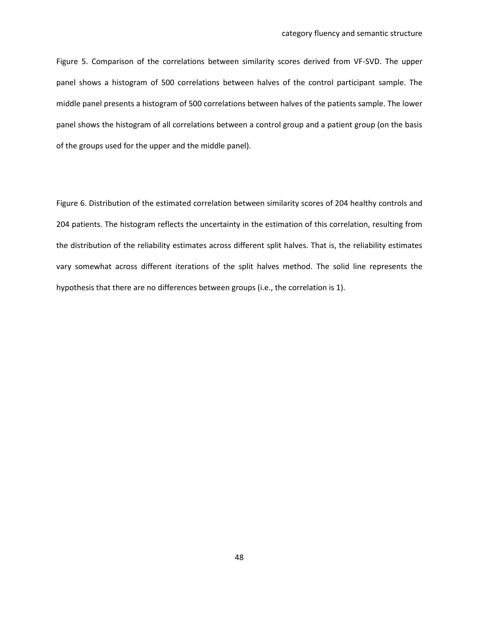Figure 5. Comparison of the correlations between similarity scores derived from VF-SVD. The upper panel shows a histogram of 500 correlations between halves of the control participant sample. The middle panel presents a histogram of 500 correlations between halves of the patients sample. The lower panel shows the histogram of all correlations between a control group and a patient group (on the basis of the groups used for the upper and the middle panel).

Figure 6. Distribution of the estimated correlation between similarity scores of 204 healthy controls and 204 patients. The histogram reflects the uncertainty in the estimation of this correlation, resulting from the distribution of the reliability estimates across different split halves. That is, the reliability estimates vary somewhat across different iterations of the split halves method. The solid line represents the hypothesis that there are no differences between groups (i.e., the correlation is 1).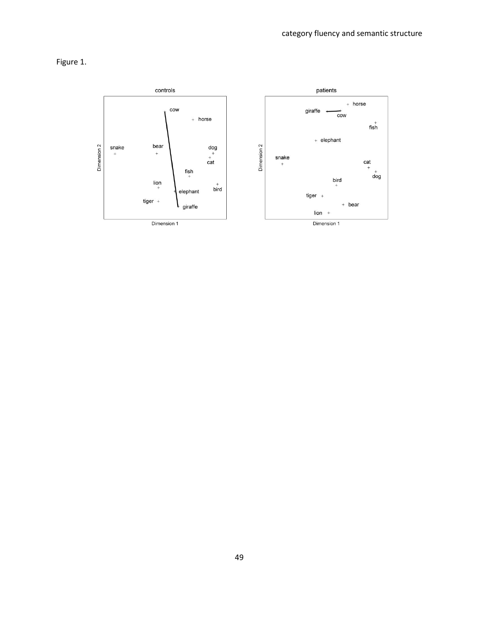# Figure 1.

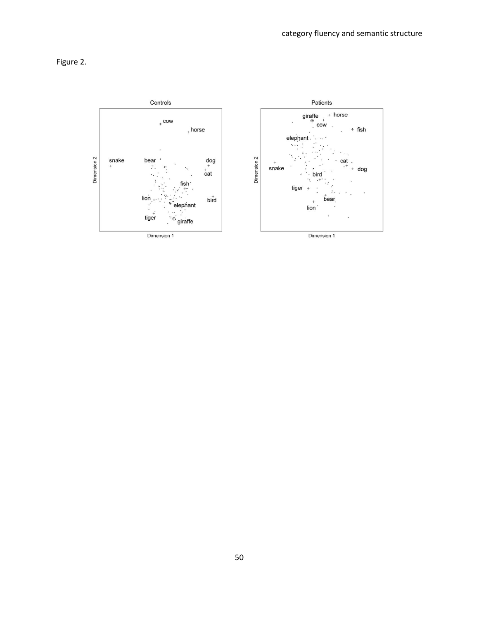# Figure 2.

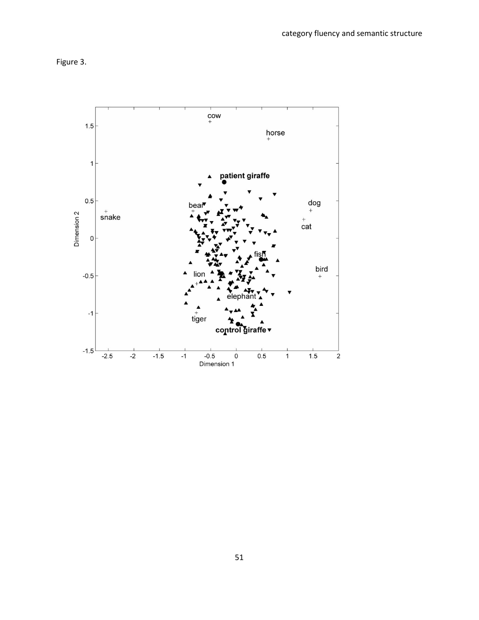

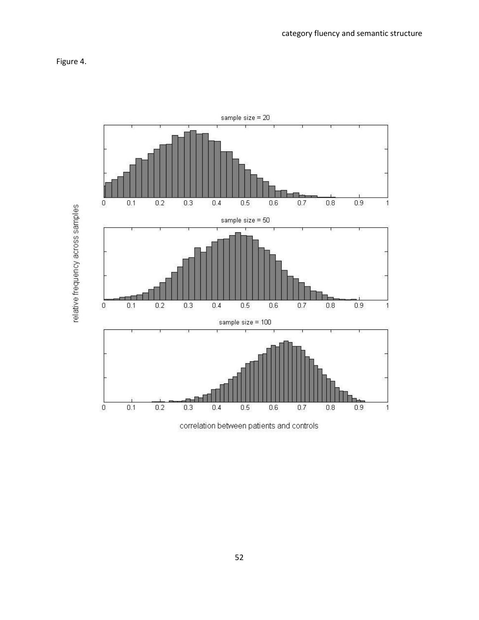



correlation between patients and controls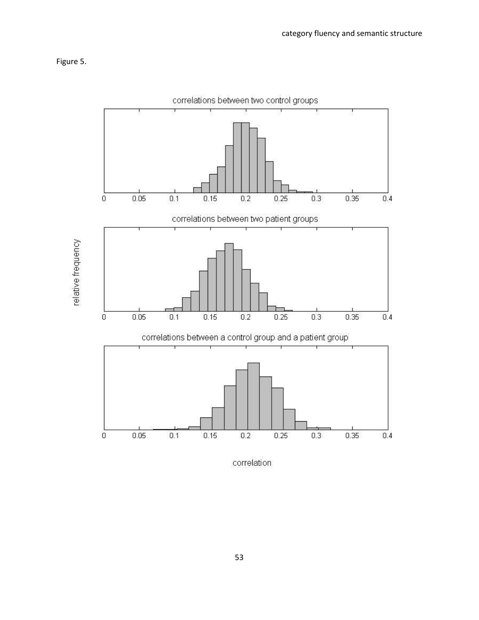Figure 5.



correlation